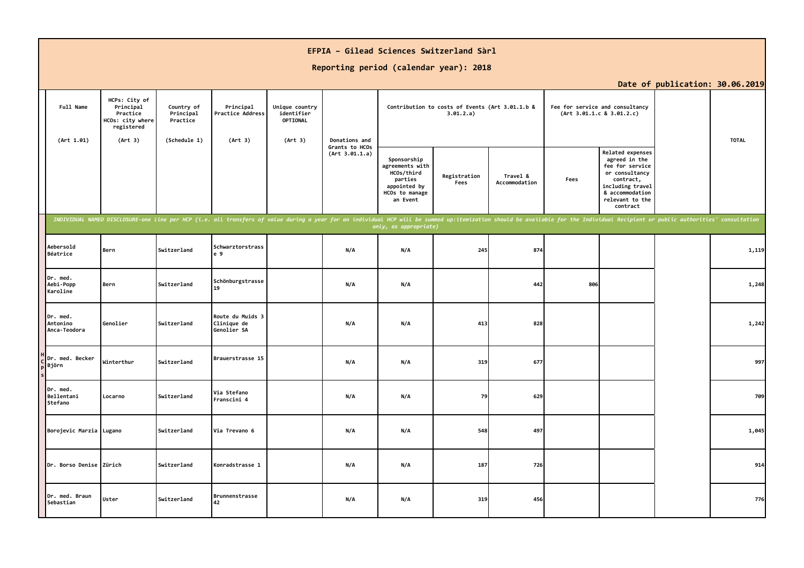|                                      |                                                                                     |                                                     |                                                                                                                                                                                                                                |                                                     |                                  | EFPIA - Gilead Sciences Switzerland Sàrl<br>Reporting period (calendar year): 2018                    |                                                              |                           |      |                                                                                                                                                           |                                 |              |
|--------------------------------------|-------------------------------------------------------------------------------------|-----------------------------------------------------|--------------------------------------------------------------------------------------------------------------------------------------------------------------------------------------------------------------------------------|-----------------------------------------------------|----------------------------------|-------------------------------------------------------------------------------------------------------|--------------------------------------------------------------|---------------------------|------|-----------------------------------------------------------------------------------------------------------------------------------------------------------|---------------------------------|--------------|
|                                      |                                                                                     |                                                     |                                                                                                                                                                                                                                |                                                     |                                  |                                                                                                       |                                                              |                           |      |                                                                                                                                                           | Date of publication: 30.06.2019 |              |
| Full Name<br>(Art 1.01)              | HCPs: City of<br>Principal<br>Practice<br>HCOs: city where<br>registered<br>(Art 3) | Country of<br>Principal<br>Practice<br>(Schedule 1) | Principal<br>Practice Address<br>(Art 3)                                                                                                                                                                                       | Unique country<br>identifier<br>OPTIONAL<br>(Art 3) | Donations and                    |                                                                                                       | Contribution to costs of Events (Art 3.01.1.b &<br>3.01.2.a) |                           |      | Fee for service and consultancy<br>(Art 3.01.1.c 8 3.01.2.c)                                                                                              |                                 | <b>TOTAL</b> |
|                                      |                                                                                     |                                                     |                                                                                                                                                                                                                                |                                                     | Grants to HCOs<br>(Art 3.01.1.a) | Sponsorship<br>agreements with<br>HCOs/third<br>parties<br>appointed by<br>HCOs to manage<br>an Event | Registration<br>Fees                                         | Travel &<br>Accommodation | Fees | Related expenses<br>agreed in the<br>fee for service<br>or consultancy<br>contract,<br>including travel<br>& accommodation<br>relevant to the<br>contract |                                 |              |
|                                      |                                                                                     |                                                     | INDIVIDUAL NAMED DISCLOSURE-one line per HCP (i.e. all transfers of value during a year for an individual HCP will be summed up:itemization should be available for the Individual Recipient or public authorities' consultati |                                                     |                                  | only, as appropriate)                                                                                 |                                                              |                           |      |                                                                                                                                                           |                                 |              |
| Aebersold<br>Béatrice                | Bern                                                                                | Switzerland                                         | Schwarztorstrass<br>e 9                                                                                                                                                                                                        |                                                     | N/A                              | N/A                                                                                                   | 245                                                          | 874                       |      |                                                                                                                                                           |                                 | 1,119        |
| Dr. med.<br>Aebi-Popp<br>Karoline    | Bern                                                                                | Switzerland                                         | Schönburgstrasse<br>19                                                                                                                                                                                                         |                                                     | N/A                              | N/A                                                                                                   |                                                              | 442                       | 806  |                                                                                                                                                           |                                 | 1,248        |
| Dr. med.<br>Antonino<br>Anca-Teodora | Genolier                                                                            | Switzerland                                         | Route du Muids 3<br>Clinique de<br>Genolier SA                                                                                                                                                                                 |                                                     | N/A                              | N/A                                                                                                   | 413                                                          | 828                       |      |                                                                                                                                                           |                                 | 1,242        |
| Dr. med. Becker<br>Björn             | Winterthur                                                                          | Switzerland                                         | Brauerstrasse 15                                                                                                                                                                                                               |                                                     | N/A                              | N/A                                                                                                   | 319                                                          | 677                       |      |                                                                                                                                                           |                                 | 997          |
| Dr. med.<br>Bellentani<br>Stefano    | Locarno                                                                             | Switzerland                                         | Via Stefano<br>Franscini 4                                                                                                                                                                                                     |                                                     | N/A                              | N/A                                                                                                   | 79                                                           | 629                       |      |                                                                                                                                                           |                                 | 709          |
| Borojevic Marzia Lugano              |                                                                                     | Switzerland                                         | Via Trevano 6                                                                                                                                                                                                                  |                                                     | N/A                              | N/A                                                                                                   | 548                                                          | 497                       |      |                                                                                                                                                           |                                 | 1,045        |
| Dr. Borso Denise Zürich              |                                                                                     | Switzerland                                         | Konradstrasse 1                                                                                                                                                                                                                |                                                     | N/A                              | N/A                                                                                                   | 187                                                          | 726                       |      |                                                                                                                                                           |                                 | 914          |
| Dr. med. Braun<br>Sebastian          | Uster                                                                               | Switzerland                                         | Brunnenstrasse<br>42                                                                                                                                                                                                           |                                                     | N/A                              | N/A                                                                                                   | 319                                                          | 456                       |      |                                                                                                                                                           |                                 | 776          |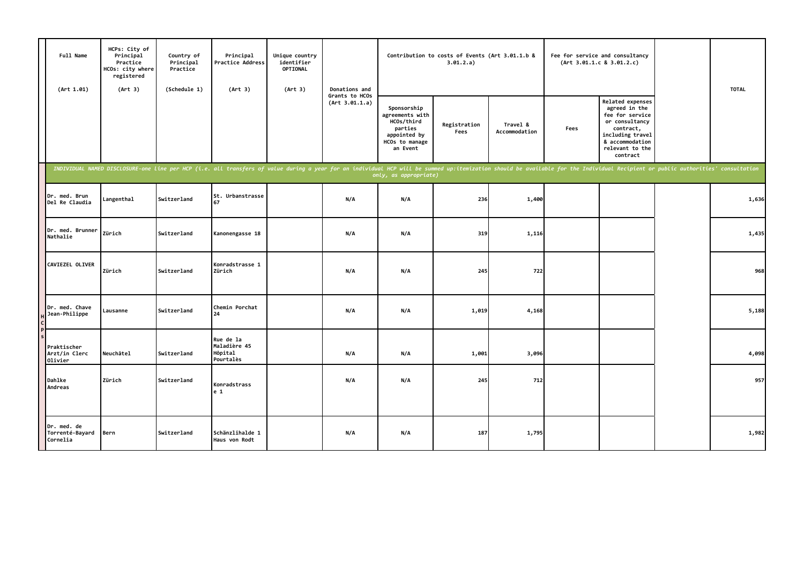| Full Name<br>(Art 1.01)                    | HCPs: City of<br>Principal<br>Practice<br>HCOs: city where<br>registered<br>(Art 3) | Country of<br>Principal<br>Practice<br>(Schedule 1) | Principal<br>Practice Address<br>(Art 3)                                                                                                                                                                                       | Unique country<br>identifier<br>OPTIONAL<br>(Art 3) | Donations and                    |                                                                                                       | Contribution to costs of Events (Art 3.01.1.b &<br>3.01.2.a) |                           |      | Fee for service and consultancy<br>(Art 3.01.1.c 8 3.01.2.c)                                                                                                     | <b>TOTAL</b> |
|--------------------------------------------|-------------------------------------------------------------------------------------|-----------------------------------------------------|--------------------------------------------------------------------------------------------------------------------------------------------------------------------------------------------------------------------------------|-----------------------------------------------------|----------------------------------|-------------------------------------------------------------------------------------------------------|--------------------------------------------------------------|---------------------------|------|------------------------------------------------------------------------------------------------------------------------------------------------------------------|--------------|
|                                            |                                                                                     |                                                     |                                                                                                                                                                                                                                |                                                     | Grants to HCOs<br>(Art 3.01.1.a) | Sponsorship<br>agreements with<br>HCOs/third<br>parties<br>appointed by<br>HCOs to manage<br>an Event | Registration<br>Fees                                         | Travel &<br>Accommodation | Fees | <b>Related expenses</b><br>agreed in the<br>fee for service<br>or consultancy<br>contract,<br>including travel<br>& accommodation<br>relevant to the<br>contract |              |
|                                            |                                                                                     |                                                     | INDIVIDUAL NAMED DISCLOSURE-one line per HCP (i.e. all transfers of value during a year for an individual HCP will be summed up:itemization should be available for the Individual Recipient or public authorities' consultati |                                                     |                                  | only, as appropriate)                                                                                 |                                                              |                           |      |                                                                                                                                                                  |              |
| Dr. med. Brun<br>Del Re Claudia            | Langenthal                                                                          | Switzerland                                         | St. Urbanstrasse<br>67                                                                                                                                                                                                         |                                                     | N/A                              | N/A                                                                                                   | 236                                                          | 1,400                     |      |                                                                                                                                                                  | 1,636        |
| Dr. med. Brunner<br>Nathalie               | Zürich                                                                              | Switzerland                                         | Kanonengasse 18                                                                                                                                                                                                                |                                                     | N/A                              | N/A                                                                                                   | 319                                                          | 1,116                     |      |                                                                                                                                                                  | 1,435        |
| CAVIEZEL OLIVER                            | Zürich                                                                              | Switzerland                                         | Konradstrasse 1<br>Zürich                                                                                                                                                                                                      |                                                     | N/A                              | N/A                                                                                                   | 245                                                          | 722                       |      |                                                                                                                                                                  | 968          |
| Dr. med. Chave<br>Jean-Philippe            | Lausanne                                                                            | Switzerland                                         | Chemin Porchat<br>24                                                                                                                                                                                                           |                                                     | N/A                              | N/A                                                                                                   | 1,019                                                        | 4,168                     |      |                                                                                                                                                                  | 5,188        |
| Praktischer<br>Arzt/in Clerc<br>Olivier    | Neuchâtel                                                                           | Switzerland                                         | Rue de la<br>Maladière 45<br>Hôpital<br>Pourtalès                                                                                                                                                                              |                                                     | N/A                              | N/A                                                                                                   | 1,001                                                        | 3,096                     |      |                                                                                                                                                                  | 4,098        |
| Dahlke<br>Andreas                          | Zürich                                                                              | Switzerland                                         | Konradstrass<br>e <sub>1</sub>                                                                                                                                                                                                 |                                                     | N/A                              | N/A                                                                                                   | 245                                                          | 712                       |      |                                                                                                                                                                  | 957          |
| Dr. med. de<br>Torrenté-Bayard<br>Cornelia | Bern                                                                                | Switzerland                                         | Schänzlihalde 1<br>Haus von Rodt                                                                                                                                                                                               |                                                     | N/A                              | N/A                                                                                                   | 187                                                          | 1,795                     |      |                                                                                                                                                                  | 1,982        |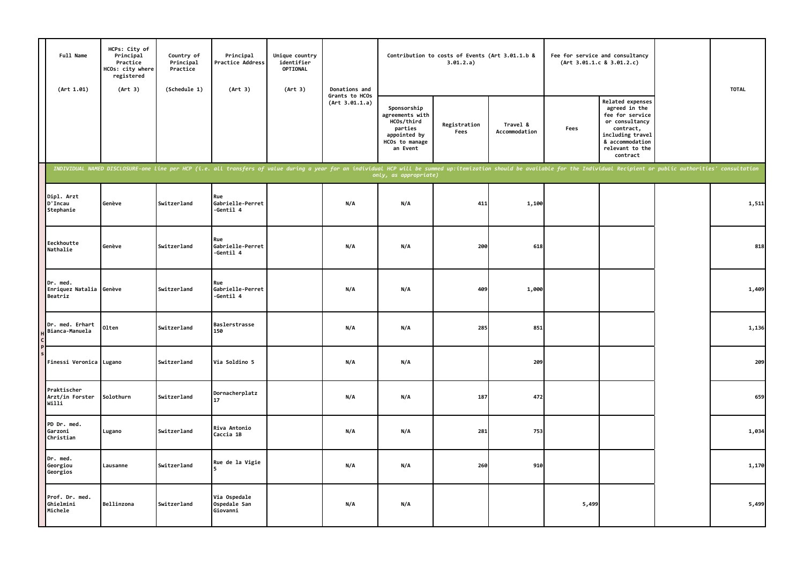| Full Name<br>(Art 1.01)                 | HCPs: City of<br>Principal<br>Practice<br>HCOs: city where<br>registered<br>(Art 3) | Country of<br>Principal<br>Practice<br>(Schedule 1) | Principal<br>Practice Address<br>(Art 3)                                                                                                                                                                                       | Unique country<br>identifier<br>OPTIONAL<br>(Art 3) | Donations and                    |                                                                                                       | Contribution to costs of Events (Art 3.01.1.b &<br>3.01.2.a) |                           |       | Fee for service and consultancy<br>(Art 3.01.1.c 8 3.01.2.c)                                                                                              | <b>TOTAL</b> |
|-----------------------------------------|-------------------------------------------------------------------------------------|-----------------------------------------------------|--------------------------------------------------------------------------------------------------------------------------------------------------------------------------------------------------------------------------------|-----------------------------------------------------|----------------------------------|-------------------------------------------------------------------------------------------------------|--------------------------------------------------------------|---------------------------|-------|-----------------------------------------------------------------------------------------------------------------------------------------------------------|--------------|
|                                         |                                                                                     |                                                     |                                                                                                                                                                                                                                |                                                     | Grants to HCOs<br>(Art 3.01.1.a) | Sponsorship<br>agreements with<br>HCOs/third<br>parties<br>appointed by<br>HCOs to manage<br>an Event | Registration<br>Fees                                         | Travel &<br>Accommodation | Fees  | Related expenses<br>agreed in the<br>fee for service<br>or consultancy<br>contract,<br>including travel<br>& accommodation<br>relevant to the<br>contract |              |
|                                         |                                                                                     |                                                     | INDIVIDUAL NAMED DISCLOSURE-one line per HCP (i.e. all transfers of value during a year for an individual HCP will be summed up:itemization should be available for the Individual Recipient or public authorities' consultati |                                                     |                                  | only, as appropriate)                                                                                 |                                                              |                           |       |                                                                                                                                                           |              |
| Dipl. Arzt<br>D'Incau<br>Stephanie      | Genève                                                                              | Switzerland                                         | Rue<br>Gabrielle-Perret<br>-Gentil 4                                                                                                                                                                                           |                                                     | N/A                              | N/A                                                                                                   | 411                                                          | 1,100                     |       |                                                                                                                                                           | 1,511        |
| Eeckhoutte<br>Nathalie                  | Genève                                                                              | Switzerland                                         | Rue<br>Gabrielle-Perret<br>-Gentil 4                                                                                                                                                                                           |                                                     | N/A                              | N/A                                                                                                   | 200                                                          | 618                       |       |                                                                                                                                                           | 818          |
| Dr. med.<br>Enriquez Natalia<br>Beatriz | Genève                                                                              | Switzerland                                         | Rue<br>Gabrielle-Perret<br>-Gentil 4                                                                                                                                                                                           |                                                     | N/A                              | N/A                                                                                                   | 409                                                          | 1,000                     |       |                                                                                                                                                           | 1,409        |
| Dr. med. Erhart<br>Bianca-Manuela       | Olten                                                                               | Switzerland                                         | Baslerstrasse<br>150                                                                                                                                                                                                           |                                                     | N/A                              | N/A                                                                                                   | 285                                                          | 851                       |       |                                                                                                                                                           | 1,136        |
| Finessi Veronica Lugano                 |                                                                                     | Switzerland                                         | Via Soldino 5                                                                                                                                                                                                                  |                                                     | N/A                              | N/A                                                                                                   |                                                              | 209                       |       |                                                                                                                                                           | 209          |
| Praktischer<br>Arzt/in Forster<br>Willi | Solothurn                                                                           | Switzerland                                         | Dornacherplatz<br>17                                                                                                                                                                                                           |                                                     | N/A                              | N/A                                                                                                   | 187                                                          | 472                       |       |                                                                                                                                                           | 659          |
| PD Dr. med.<br>Garzoni<br>Christian     | Lugano                                                                              | Switzerland                                         | Riva Antonio<br>Caccia 1B                                                                                                                                                                                                      |                                                     | N/A                              | N/A                                                                                                   | 281                                                          | 753                       |       |                                                                                                                                                           | 1,034        |
| Dr. med.<br>Georgiou<br>Georgios        | Lausanne                                                                            | Switzerland                                         | Rue de la Vigie                                                                                                                                                                                                                |                                                     | N/A                              | N/A                                                                                                   | 260                                                          | 910                       |       |                                                                                                                                                           | 1,170        |
| Prof. Dr. med.<br>Ghielmini<br>Michele  | Bellinzona                                                                          | Switzerland                                         | Via Ospedale<br>Ospedale San<br>Giovanni                                                                                                                                                                                       |                                                     | N/A                              | N/A                                                                                                   |                                                              |                           | 5,499 |                                                                                                                                                           | 5,499        |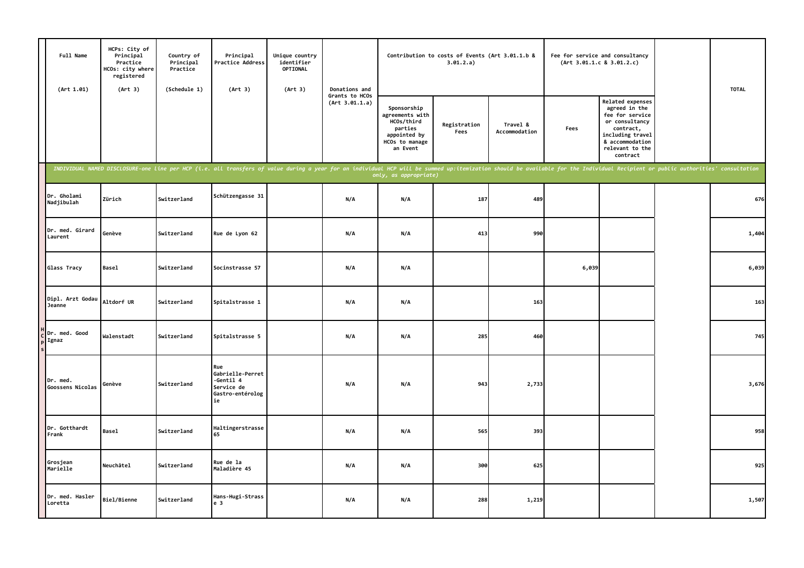| Full Name<br>(Art 1.01)      | HCPs: City of<br>Principal<br>Practice<br>HCOs: city where<br>registered<br>(Art 3) | Country of<br>Principal<br>Practice<br>(Schedule 1) | Principal<br>Practice Address<br>(Art 3)                                                                                                                                                                                       | Unique country<br>identifier<br>OPTIONAL<br>(Art 3) | Donations and                    |                                                                                                       | Contribution to costs of Events (Art 3.01.1.b &<br>3.01.2.a) |                           |       | Fee for service and consultancy<br>(Art 3.01.1.c 8 3.01.2.c)                                                                                              | <b>TOTAL</b> |
|------------------------------|-------------------------------------------------------------------------------------|-----------------------------------------------------|--------------------------------------------------------------------------------------------------------------------------------------------------------------------------------------------------------------------------------|-----------------------------------------------------|----------------------------------|-------------------------------------------------------------------------------------------------------|--------------------------------------------------------------|---------------------------|-------|-----------------------------------------------------------------------------------------------------------------------------------------------------------|--------------|
|                              |                                                                                     |                                                     |                                                                                                                                                                                                                                |                                                     | Grants to HCOs<br>(Art 3.01.1.a) | Sponsorship<br>agreements with<br>HCOs/third<br>parties<br>appointed by<br>HCOs to manage<br>an Event | Registration<br>Fees                                         | Travel &<br>Accommodation | Fees  | Related expenses<br>agreed in the<br>fee for service<br>or consultancy<br>contract,<br>including travel<br>& accommodation<br>relevant to the<br>contract |              |
|                              |                                                                                     |                                                     | INDIVIDUAL NAMED DISCLOSURE-one line per HCP (i.e. all transfers of value during a year for an individual HCP will be summed up:itemization should be available for the Individual Recipient or public authorities' consultati |                                                     |                                  | only, as appropriate)                                                                                 |                                                              |                           |       |                                                                                                                                                           |              |
| Dr. Gholami<br>Nadjibulah    | Zürich                                                                              | Switzerland                                         | Schützengasse 31                                                                                                                                                                                                               |                                                     | N/A                              | N/A                                                                                                   | 187                                                          | 489                       |       |                                                                                                                                                           | 676          |
| Dr. med. Girard<br>Laurent   | Genève                                                                              | Switzerland                                         | Rue de Lyon 62                                                                                                                                                                                                                 |                                                     | N/A                              | N/A                                                                                                   | 413                                                          | 990                       |       |                                                                                                                                                           | 1,404        |
| Glass Tracy                  | <b>Basel</b>                                                                        | Switzerland                                         | Socinstrasse 57                                                                                                                                                                                                                |                                                     | N/A                              | N/A                                                                                                   |                                                              |                           | 6,039 |                                                                                                                                                           | 6,039        |
| Dipl. Arzt Godau<br>Jeanne   | Altdorf UR                                                                          | Switzerland                                         | Spitalstrasse 1                                                                                                                                                                                                                |                                                     | N/A                              | N/A                                                                                                   |                                                              | 163                       |       |                                                                                                                                                           | 163          |
| Dr. med. Good<br>Ignaz       | Walenstadt                                                                          | Switzerland                                         | Spitalstrasse 5                                                                                                                                                                                                                |                                                     | N/A                              | N/A                                                                                                   | 285                                                          | 460                       |       |                                                                                                                                                           | 745          |
| Dr. med.<br>Goossens Nicolas | Genève                                                                              | Switzerland                                         | Rue<br>Gabrielle-Perret<br>-Gentil 4<br>Service de<br>Gastro-entérolog<br>ie                                                                                                                                                   |                                                     | N/A                              | N/A                                                                                                   | 943                                                          | 2,733                     |       |                                                                                                                                                           | 3,676        |
| Dr. Gotthardt<br>Frank       | Basel                                                                               | Switzerland                                         | Haltingerstrasse<br>65                                                                                                                                                                                                         |                                                     | N/A                              | N/A                                                                                                   | 565                                                          | 393                       |       |                                                                                                                                                           | 958          |
| Grosjean<br>Marielle         | Neuchâtel                                                                           | Switzerland                                         | Rue de la<br>Maladière 45                                                                                                                                                                                                      |                                                     | N/A                              | N/A                                                                                                   | 300                                                          | 625                       |       |                                                                                                                                                           | 925          |
| Dr. med. Hasler<br>Loretta   | Biel/Bienne                                                                         | Switzerland                                         | Hans-Hugi-Strass<br>e <sub>3</sub>                                                                                                                                                                                             |                                                     | N/A                              | N/A                                                                                                   | 288                                                          | 1,219                     |       |                                                                                                                                                           | 1,507        |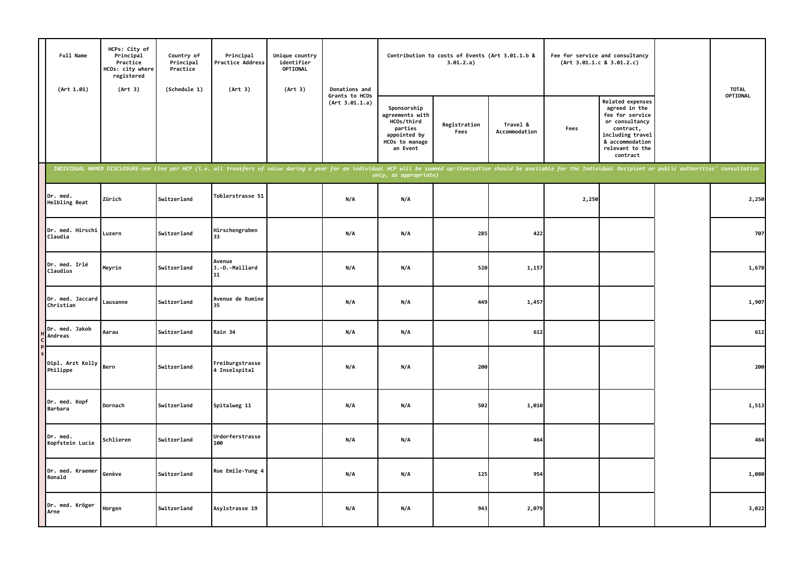| Full Name<br>(Art 1.01)       | HCPs: City of<br>Principal<br>Practice<br>HCOs: city where<br>registered<br>(Art 3) | Country of<br>Principal<br>Practice<br>(Schedule 1) | Principal<br>Practice Address<br>(Art 3)                                                                                                                                                                                       | Unique country<br>identifier<br>OPTIONAL<br>(Art 3) | Donations and                    |                                                                                                       | Contribution to costs of Events (Art 3.01.1.b &<br>3.01.2.a) |                           |       | Fee for service and consultancy<br>(Art 3.01.1.c 8 3.01.2.c)                                                                                                     | <b>TOTAL</b> |
|-------------------------------|-------------------------------------------------------------------------------------|-----------------------------------------------------|--------------------------------------------------------------------------------------------------------------------------------------------------------------------------------------------------------------------------------|-----------------------------------------------------|----------------------------------|-------------------------------------------------------------------------------------------------------|--------------------------------------------------------------|---------------------------|-------|------------------------------------------------------------------------------------------------------------------------------------------------------------------|--------------|
|                               |                                                                                     |                                                     |                                                                                                                                                                                                                                |                                                     | Grants to HCOs<br>(Art 3.01.1.a) | Sponsorship<br>agreements with<br>HCOs/third<br>parties<br>appointed by<br>HCOs to manage<br>an Event | Registration<br>Fees                                         | Travel &<br>Accommodation | Fees  | <b>Related expenses</b><br>agreed in the<br>fee for service<br>or consultancy<br>contract,<br>including travel<br>& accommodation<br>relevant to the<br>contract | OPTIONAL     |
|                               |                                                                                     |                                                     | INDIVIDUAL NAMED DISCLOSURE-one line per HCP (i.e. all transfers of value during a year for an individual HCP will be summed up:itemization should be available for the Individual Recipient or public authorities' consultati |                                                     |                                  | only, as appropriate)                                                                                 |                                                              |                           |       |                                                                                                                                                                  |              |
| Dr. med.<br>Helbling Beat     | Zürich                                                                              | Switzerland                                         | Toblerstrasse 51                                                                                                                                                                                                               |                                                     | N/A                              | N/A                                                                                                   |                                                              |                           | 2,250 |                                                                                                                                                                  | 2,250        |
| Dr. med. Hirschi<br>Claudia   | Luzern                                                                              | Switzerland                                         | Hirschengraben<br>33                                                                                                                                                                                                           |                                                     | N/A                              | N/A                                                                                                   | 285                                                          | 422                       |       |                                                                                                                                                                  | 707          |
| Dr. med. Irlé<br>Claudius     | Meyrin                                                                              | Switzerland                                         | Avenue<br>J.-D.-Maillard<br>11                                                                                                                                                                                                 |                                                     | N/A                              | N/A                                                                                                   | 520                                                          | 1,157                     |       |                                                                                                                                                                  | 1,678        |
| Dr. med. Jaccard<br>Christian | Lausanne                                                                            | Switzerland                                         | Avenue de Rumine<br>35                                                                                                                                                                                                         |                                                     | N/A                              | N/A                                                                                                   | 449                                                          | 1,457                     |       |                                                                                                                                                                  | 1,907        |
| Dr. med. Jakob<br>Andreas     | Aarau                                                                               | Switzerland                                         | Rain 34                                                                                                                                                                                                                        |                                                     | N/A                              | N/A                                                                                                   |                                                              | 612                       |       |                                                                                                                                                                  | 612          |
| Dipl. Arzt Kolly<br>Philippe  | Bern                                                                                | Switzerland                                         | Freiburgstrasse<br>4 Inselspital                                                                                                                                                                                               |                                                     | N/A                              | N/A                                                                                                   | 200                                                          |                           |       |                                                                                                                                                                  | 200          |
| Dr. med. Kopf<br>Barbara      | Dornach                                                                             | Switzerland                                         | Spitalweg 11                                                                                                                                                                                                                   |                                                     | N/A                              | N/A                                                                                                   | 502                                                          | 1,010                     |       |                                                                                                                                                                  | 1,513        |
| Dr. med.<br>Kopfstein Lucie   | Schlieren                                                                           | Switzerland                                         | Urdorferstrasse<br>100                                                                                                                                                                                                         |                                                     | N/A                              | N/A                                                                                                   |                                                              | 464                       |       |                                                                                                                                                                  | 464          |
| Dr. med. Kraemer<br>Ronald    | Genève                                                                              | Switzerland                                         | Rue Emile-Yung 4                                                                                                                                                                                                               |                                                     | N/A                              | N/A                                                                                                   | 125                                                          | 954                       |       |                                                                                                                                                                  | 1,080        |
| Dr. med. Kröger<br>Arne       | Horgen                                                                              | Switzerland                                         | Asylstrasse 19                                                                                                                                                                                                                 |                                                     | N/A                              | N/A                                                                                                   | 943                                                          | 2,079                     |       |                                                                                                                                                                  | 3,022        |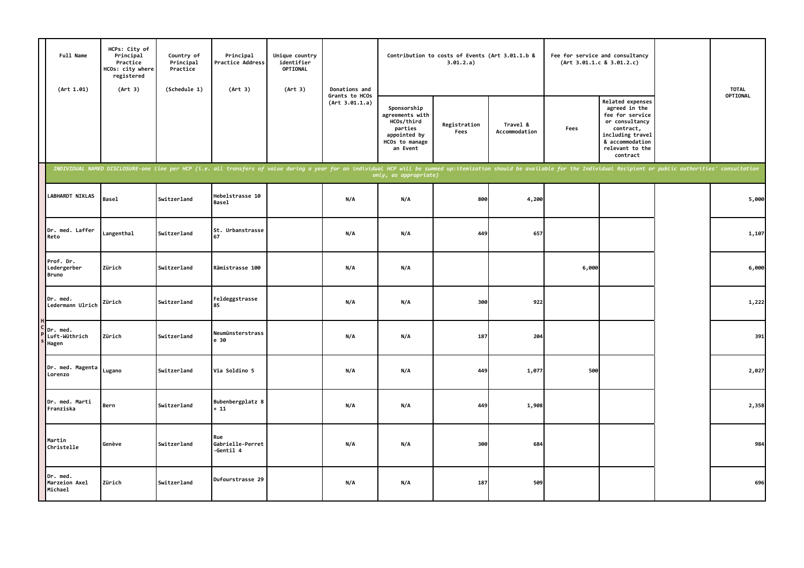| Full Name<br>(Art 1.01)                  | HCPs: City of<br>Principal<br>Practice<br>HCOs: city where<br>registered<br>(Art 3) | Country of<br>Principal<br>Practice<br>(Schedule 1) | Principal<br>Practice Address<br>(Art 3) | Unique country<br>identifier<br><b>OPTIONAL</b><br>(Art 3) | Donations and                    |                                                                                                       | Contribution to costs of Events (Art 3.01.1.b &<br>3.01.2.a) |                           |       | Fee for service and consultancy<br>(Art 3.01.1.c 8 3.01.2.c)                                                                                                     |                                                                                                                                                                                                                                | <b>TOTAL</b> |
|------------------------------------------|-------------------------------------------------------------------------------------|-----------------------------------------------------|------------------------------------------|------------------------------------------------------------|----------------------------------|-------------------------------------------------------------------------------------------------------|--------------------------------------------------------------|---------------------------|-------|------------------------------------------------------------------------------------------------------------------------------------------------------------------|--------------------------------------------------------------------------------------------------------------------------------------------------------------------------------------------------------------------------------|--------------|
|                                          |                                                                                     |                                                     |                                          |                                                            | Grants to HCOs<br>(Art 3.01.1.a) | Sponsorship<br>agreements with<br>HCOs/third<br>parties<br>appointed by<br>HCOs to manage<br>an Event | Registration<br>Fees                                         | Travel &<br>Accommodation | Fees  | <b>Related expenses</b><br>agreed in the<br>fee for service<br>or consultancy<br>contract,<br>including travel<br>& accommodation<br>relevant to the<br>contract |                                                                                                                                                                                                                                | OPTIONAL     |
|                                          |                                                                                     |                                                     |                                          |                                                            |                                  | only, as appropriate)                                                                                 |                                                              |                           |       |                                                                                                                                                                  | INDIVIDUAL NAMED DISCLOSURE-one line per HCP (i.e. all transfers of value during a year for an individual HCP will be summed up:itemization should be available for the Individual Recipient or public authorities' consultati |              |
| LABHARDT NIKLAS                          | <b>Basel</b>                                                                        | Switzerland                                         | Hebelstrasse 10<br>Basel                 |                                                            | N/A                              | N/A                                                                                                   | 800                                                          | 4,200                     |       |                                                                                                                                                                  |                                                                                                                                                                                                                                | 5,000        |
| Dr. med. Laffer<br>Reto                  | Langenthal                                                                          | Switzerland                                         | St. Urbanstrasse<br>67                   |                                                            | N/A                              | N/A                                                                                                   | 449                                                          | 657                       |       |                                                                                                                                                                  |                                                                                                                                                                                                                                | 1,107        |
| Prof. Dr.<br>Ledergerber<br><b>Bruno</b> | Zürich                                                                              | Switzerland                                         | Rämistrasse 100                          |                                                            | N/A                              | N/A                                                                                                   |                                                              |                           | 6,000 |                                                                                                                                                                  |                                                                                                                                                                                                                                | 6,000        |
| Dr. med.<br>Ledermann Ulrich             | Zürich                                                                              | Switzerland                                         | Feldeggstrasse<br>85                     |                                                            | N/A                              | N/A                                                                                                   | 300                                                          | 922                       |       |                                                                                                                                                                  |                                                                                                                                                                                                                                | 1,222        |
| Dr. med.<br>Luft-Wüthrich<br>Hagen       | Zürich                                                                              | Switzerland                                         | Neumünsterstrass<br>e 30                 |                                                            | N/A                              | N/A                                                                                                   | 187                                                          | 204                       |       |                                                                                                                                                                  |                                                                                                                                                                                                                                | 391          |
| Dr. med. Magenta<br>Lorenzo              | Lugano                                                                              | Switzerland                                         | Via Soldino 5                            |                                                            | N/A                              | N/A                                                                                                   | 449                                                          | 1,077                     | 500   |                                                                                                                                                                  |                                                                                                                                                                                                                                | 2,027        |
| Dr. med. Marti<br>Franziska              | Bern                                                                                | Switzerland                                         | Bubenbergplatz 8<br>$+11$                |                                                            | N/A                              | N/A                                                                                                   | 449                                                          | 1,908                     |       |                                                                                                                                                                  |                                                                                                                                                                                                                                | 2,358        |
| Martin<br>Christelle                     | Genève                                                                              | Switzerland                                         | Rue<br>Gabrielle-Perret<br>-Gentil 4     |                                                            | N/A                              | N/A                                                                                                   | 300                                                          | 684                       |       |                                                                                                                                                                  |                                                                                                                                                                                                                                | 984          |
| Dr. med.<br>Marzeion Axel<br>Michael     | Zürich                                                                              | Switzerland                                         | Dufourstrasse 29                         |                                                            | N/A                              | N/A                                                                                                   | 187                                                          | 509                       |       |                                                                                                                                                                  |                                                                                                                                                                                                                                | 696          |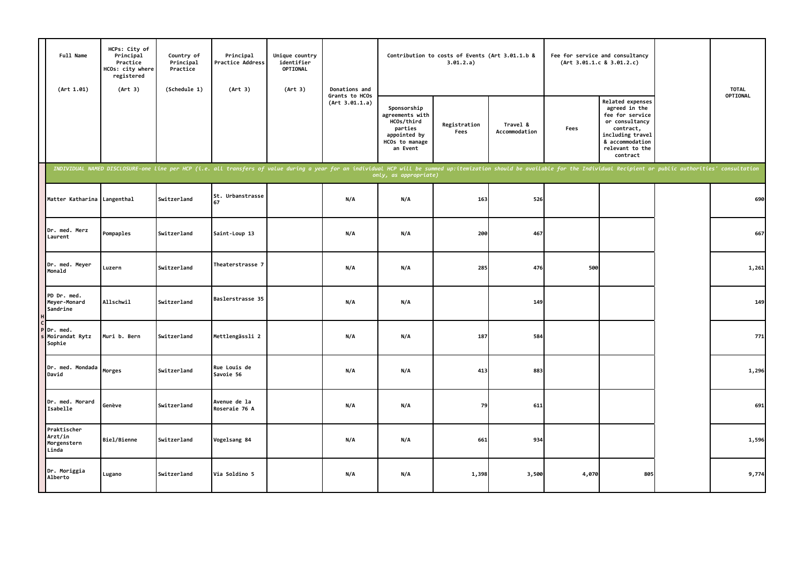| Full Name<br>(Art 1.01)                        | HCPs: City of<br>Principal<br>Practice<br>HCOs: city where<br>registered<br>(Art 3) | Country of<br>Principal<br>Practice<br>(Schedule 1) | Principal<br>Practice Address<br>(Art 3)                                                                                                                                                                                       | Unique country<br>identifier<br>OPTIONAL<br>(Art 3) | Donations and                    |                                                                                                       | Contribution to costs of Events (Art 3.01.1.b &<br>3.01.2.a) |                           |       | Fee for service and consultancy<br>(Art 3.01.1.c 8 3.01.2.c)                                                                                                     | <b>TOTAL</b> |
|------------------------------------------------|-------------------------------------------------------------------------------------|-----------------------------------------------------|--------------------------------------------------------------------------------------------------------------------------------------------------------------------------------------------------------------------------------|-----------------------------------------------------|----------------------------------|-------------------------------------------------------------------------------------------------------|--------------------------------------------------------------|---------------------------|-------|------------------------------------------------------------------------------------------------------------------------------------------------------------------|--------------|
|                                                |                                                                                     |                                                     |                                                                                                                                                                                                                                |                                                     | Grants to HCOs<br>(Art 3.01.1.a) | Sponsorship<br>agreements with<br>HCOs/third<br>parties<br>appointed by<br>HCOs to manage<br>an Event | Registration<br>Fees                                         | Travel &<br>Accommodation | Fees  | <b>Related expenses</b><br>agreed in the<br>fee for service<br>or consultancy<br>contract,<br>including travel<br>& accommodation<br>relevant to the<br>contract | OPTIONAL     |
|                                                |                                                                                     |                                                     | INDIVIDUAL NAMED DISCLOSURE-one line per HCP (i.e. all transfers of value during a year for an individual HCP will be summed up:itemization should be available for the Individual Recipient or public authorities' consultati |                                                     |                                  | only, as appropriate)                                                                                 |                                                              |                           |       |                                                                                                                                                                  |              |
| Matter Katharina Langenthal                    |                                                                                     | Switzerland                                         | St. Urbanstrasse<br>67                                                                                                                                                                                                         |                                                     | N/A                              | N/A                                                                                                   | 163                                                          | 526                       |       |                                                                                                                                                                  | 690          |
| Dr. med. Merz<br>Laurent                       | Pompaples                                                                           | Switzerland                                         | Saint-Loup 13                                                                                                                                                                                                                  |                                                     | N/A                              | N/A                                                                                                   | 200                                                          | 467                       |       |                                                                                                                                                                  | 667          |
| Dr. med. Meyer<br>Monald                       | Luzern                                                                              | Switzerland                                         | Theaterstrasse 7                                                                                                                                                                                                               |                                                     | N/A                              | N/A                                                                                                   | 285                                                          | 476                       | 500   |                                                                                                                                                                  | 1,261        |
| PD Dr. med.<br>Meyer-Monard<br>Sandrine        | Allschwil                                                                           | Switzerland                                         | Baslerstrasse 35                                                                                                                                                                                                               |                                                     | N/A                              | N/A                                                                                                   |                                                              | 149                       |       |                                                                                                                                                                  | 149          |
| Dr. med.<br>Moirandat Rytz<br>Sophie           | Muri b. Bern                                                                        | Switzerland                                         | Mettlengässli 2                                                                                                                                                                                                                |                                                     | N/A                              | N/A                                                                                                   | 187                                                          | 584                       |       |                                                                                                                                                                  | 771          |
| Dr. med. Mondada<br>David                      | Morges                                                                              | Switzerland                                         | Rue Louis de<br>Savoie 56                                                                                                                                                                                                      |                                                     | N/A                              | N/A                                                                                                   | 413                                                          | 883                       |       |                                                                                                                                                                  | 1,296        |
| Dr. med. Morard<br>Isabelle                    | Genève                                                                              | Switzerland                                         | Avenue de la<br>Roseraie 76 A                                                                                                                                                                                                  |                                                     | N/A                              | N/A                                                                                                   | 79                                                           | 611                       |       |                                                                                                                                                                  | 691          |
| Praktischer<br>Arzt/in<br>Morgenstern<br>Linda | Biel/Bienne                                                                         | Switzerland                                         | Vogelsang 84                                                                                                                                                                                                                   |                                                     | N/A                              | N/A                                                                                                   | 661                                                          | 934                       |       |                                                                                                                                                                  | 1,596        |
| Dr. Moriggia<br>Alberto                        | Lugano                                                                              | Switzerland                                         | Via Soldino 5                                                                                                                                                                                                                  |                                                     | N/A                              | N/A                                                                                                   | 1,398                                                        | 3,500                     | 4,070 | 805                                                                                                                                                              | 9,774        |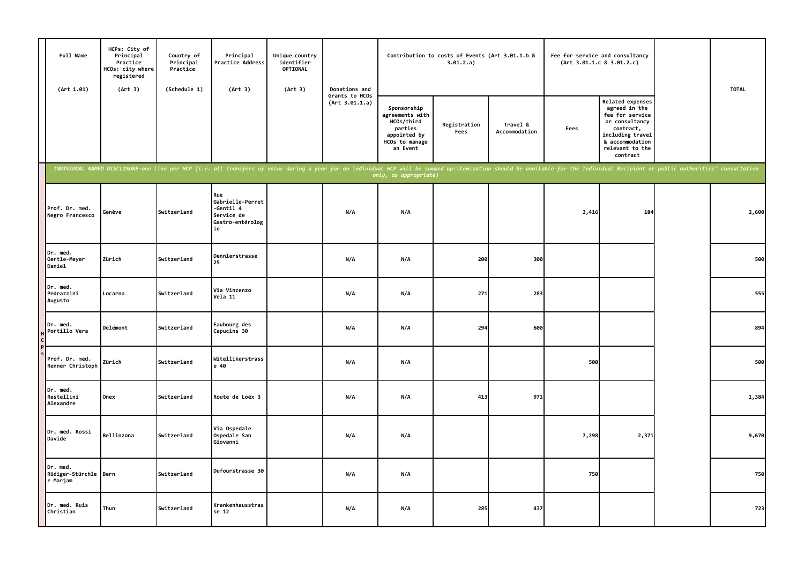| Full Name<br>(Art 1.01)                       | HCPs: City of<br>Principal<br>Practice<br>HCOs: city where<br>registered<br>(Art 3) | Country of<br>Principal<br>Practice<br>(Schedule 1) | Principal<br>Practice Address<br>(Art 3)                                                                                                                                                                                       | Unique country<br>identifier<br>OPTIONAL<br>(Art 3) | Donations and                    |                                                                                                       | Contribution to costs of Events (Art 3.01.1.b &<br>3.01.2.a) |                           | Fee for service and consultancy | (Art 3.01.1.c 8 3.01.2.c)                                                                                                                                 | <b>TOTAL</b> |
|-----------------------------------------------|-------------------------------------------------------------------------------------|-----------------------------------------------------|--------------------------------------------------------------------------------------------------------------------------------------------------------------------------------------------------------------------------------|-----------------------------------------------------|----------------------------------|-------------------------------------------------------------------------------------------------------|--------------------------------------------------------------|---------------------------|---------------------------------|-----------------------------------------------------------------------------------------------------------------------------------------------------------|--------------|
|                                               |                                                                                     |                                                     |                                                                                                                                                                                                                                |                                                     | Grants to HCOs<br>(Art 3.01.1.a) | Sponsorship<br>agreements with<br>HCOs/third<br>parties<br>appointed by<br>HCOs to manage<br>an Event | Registration<br>Fees                                         | Travel &<br>Accommodation | Fees                            | Related expenses<br>agreed in the<br>fee for service<br>or consultancy<br>contract,<br>including travel<br>& accommodation<br>relevant to the<br>contract |              |
|                                               |                                                                                     |                                                     | INDIVIDUAL NAMED DISCLOSURE-one line per HCP (i.e. all transfers of value during a year for an individual HCP will be summed up:itemization should be available for the Individual Recipient or public authorities' consultati |                                                     |                                  | only, as appropriate)                                                                                 |                                                              |                           |                                 |                                                                                                                                                           |              |
| Prof. Dr. med.<br>Negro Francesco             | Genève                                                                              | Switzerland                                         | Rue<br>Gabrielle-Perret<br>$- Genti1 4$<br>Service de<br>Gastro-entérolog<br>ie                                                                                                                                                |                                                     | N/A                              | N/A                                                                                                   |                                                              |                           | 2,416                           | 184                                                                                                                                                       | 2,600        |
| Dr. med.<br>Oertle-Meyer<br>Daniel            | Zürich                                                                              | Switzerland                                         | Dennlerstrasse<br>25                                                                                                                                                                                                           |                                                     | N/A                              | N/A                                                                                                   | 200                                                          | 300                       |                                 |                                                                                                                                                           | 500          |
| Dr. med.<br>Pedrazzini<br>Augusto             | Locarno                                                                             | Switzerland                                         | Via Vincenzo<br>Vela 11                                                                                                                                                                                                        |                                                     | N/A                              | N/A                                                                                                   | 271                                                          | 283                       |                                 |                                                                                                                                                           | 555          |
| Dr. med.<br>Portillo Vera                     | Delémont                                                                            | Switzerland                                         | Faubourg des<br>Capucins 30                                                                                                                                                                                                    |                                                     | N/A                              | N/A                                                                                                   | 294                                                          | 600                       |                                 |                                                                                                                                                           | 894          |
| Prof. Dr. med.<br>Renner Christoph            | Zürich                                                                              | Switzerland                                         | Witellikerstrass<br>e 40                                                                                                                                                                                                       |                                                     | N/A                              | N/A                                                                                                   |                                                              |                           | 500                             |                                                                                                                                                           | 500          |
| Dr. med.<br>Restellini<br>Alexandre           | Onex                                                                                | Switzerland                                         | Route de Loëx 3                                                                                                                                                                                                                |                                                     | N/A                              | N/A                                                                                                   | 413                                                          | 971                       |                                 |                                                                                                                                                           | 1,384        |
| Dr. med. Rossi<br>Davide                      | Bellinzona                                                                          | Switzerland                                         | Via Ospedale<br>Ospedale San<br>Giovanni                                                                                                                                                                                       |                                                     | N/A                              | N/A                                                                                                   |                                                              |                           | 7,298                           | 2,371                                                                                                                                                     | 9,670        |
| Dr. med.<br>Rüdiger-Stürchle Bern<br>r Marjam |                                                                                     | Switzerland                                         | Dufourstrasse 30                                                                                                                                                                                                               |                                                     | N/A                              | N/A                                                                                                   |                                                              |                           | 750                             |                                                                                                                                                           | 750          |
| Dr. med. Ruis<br>Christian                    | Thun                                                                                | Switzerland                                         | Krankenhausstras<br>se 12                                                                                                                                                                                                      |                                                     | N/A                              | N/A                                                                                                   | 285                                                          | 437                       |                                 |                                                                                                                                                           | 723          |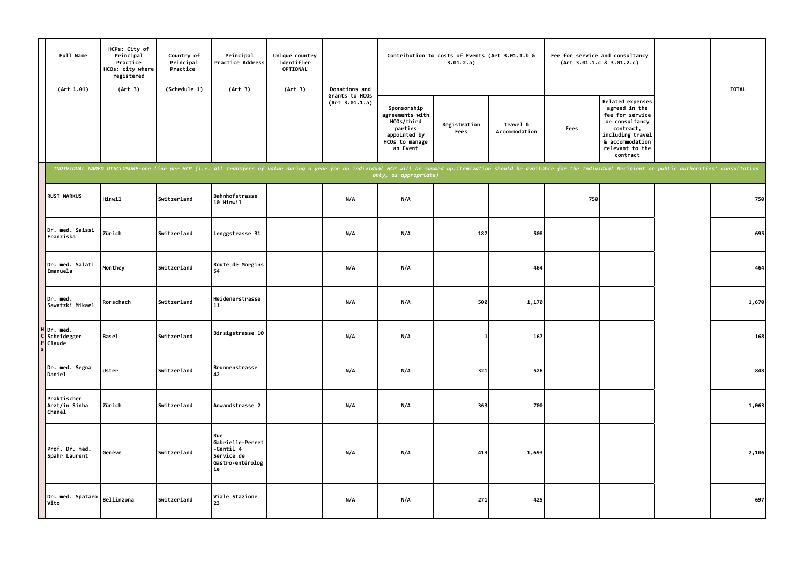| Full Name<br>(Art 1.01)                | HCPs: City of<br>Principal<br>Practice<br>HCOs: city where<br>registered<br>(Art 3) | Country of<br>Principal<br>Practice<br>(Schedule 1) | Principal<br>Practice Address<br>(Art 3)                                                                                                                                                                                       | Unique country<br>identifier<br>OPTIONAL<br>(Art 3) | Donations and                    |                                                                                                       | Contribution to costs of Events (Art 3.01.1.b &<br>3.01.2.a) |                           |      | Fee for service and consultancy<br>(Art 3.01.1.c 8 3.01.2.c)                                                                                                     | <b>TOTAL</b> |
|----------------------------------------|-------------------------------------------------------------------------------------|-----------------------------------------------------|--------------------------------------------------------------------------------------------------------------------------------------------------------------------------------------------------------------------------------|-----------------------------------------------------|----------------------------------|-------------------------------------------------------------------------------------------------------|--------------------------------------------------------------|---------------------------|------|------------------------------------------------------------------------------------------------------------------------------------------------------------------|--------------|
|                                        |                                                                                     |                                                     |                                                                                                                                                                                                                                |                                                     | Grants to HCOs<br>(Art 3.01.1.a) | Sponsorship<br>agreements with<br>HCOs/third<br>parties<br>appointed by<br>HCOs to manage<br>an Event | Registration<br>Fees                                         | Travel &<br>Accommodation | Fees | <b>Related expenses</b><br>agreed in the<br>fee for service<br>or consultancy<br>contract,<br>including travel<br>& accommodation<br>relevant to the<br>contract |              |
|                                        |                                                                                     |                                                     | INDIVIDUAL NAMED DISCLOSURE-one line per HCP (i.e. all transfers of value during a year for an individual HCP will be summed up:itemization should be available for the Individual Recipient or public authorities' consultati |                                                     |                                  | only, as appropriate)                                                                                 |                                                              |                           |      |                                                                                                                                                                  |              |
| <b>RUST MARKUS</b>                     | <b>Hinwil</b>                                                                       | Switzerland                                         | Bahnhofstrasse<br>10 Hinwil                                                                                                                                                                                                    |                                                     | N/A                              | N/A                                                                                                   |                                                              |                           | 750  |                                                                                                                                                                  | 750          |
| Dr. med. Saissi<br>Franziska           | Zürich                                                                              | Switzerland                                         | Lenggstrasse 31                                                                                                                                                                                                                |                                                     | N/A                              | N/A                                                                                                   | 187                                                          | 508                       |      |                                                                                                                                                                  | 695          |
| Dr. med. Salati<br>Emanuela            | Monthey                                                                             | Switzerland                                         | Route de Morgins<br>54                                                                                                                                                                                                         |                                                     | N/A                              | N/A                                                                                                   |                                                              | 464                       |      |                                                                                                                                                                  | 464          |
| Dr. med.<br>Sawatzki Mikael            | Rorschach                                                                           | Switzerland                                         | Heidenerstrasse<br>11                                                                                                                                                                                                          |                                                     | N/A                              | N/A                                                                                                   | 500                                                          | 1,170                     |      |                                                                                                                                                                  | 1,670        |
| H Dr. med.<br>C Scheidegger<br>Claude  | <b>Basel</b>                                                                        | Switzerland                                         | Birsigstrasse 10                                                                                                                                                                                                               |                                                     | N/A                              | N/A                                                                                                   |                                                              | 167                       |      |                                                                                                                                                                  | 168          |
| Dr. med. Segna<br>Daniel               | Uster                                                                               | Switzerland                                         | Brunnenstrasse<br>42                                                                                                                                                                                                           |                                                     | N/A                              | N/A                                                                                                   | 321                                                          | 526                       |      |                                                                                                                                                                  | 848          |
| Praktischer<br>Arzt/in Sinha<br>Chanel | Zürich                                                                              | Switzerland                                         | Anwandstrasse 2                                                                                                                                                                                                                |                                                     | N/A                              | N/A                                                                                                   | 363                                                          | 700                       |      |                                                                                                                                                                  | 1,063        |
| Prof. Dr. med.<br>Spahr Laurent        | Genève                                                                              | Switzerland                                         | Rue<br>Gabrielle-Perret<br>-Gentil 4<br>Service de<br>Gastro-entérolog<br>ie                                                                                                                                                   |                                                     | N/A                              | N/A                                                                                                   | 413                                                          | 1,693                     |      |                                                                                                                                                                  | 2,106        |
| Dr. med. Spataro<br>Vito               | Bellinzona                                                                          | Switzerland                                         | Viale Stazione<br>23                                                                                                                                                                                                           |                                                     | N/A                              | N/A                                                                                                   | 271                                                          | 425                       |      |                                                                                                                                                                  | 697          |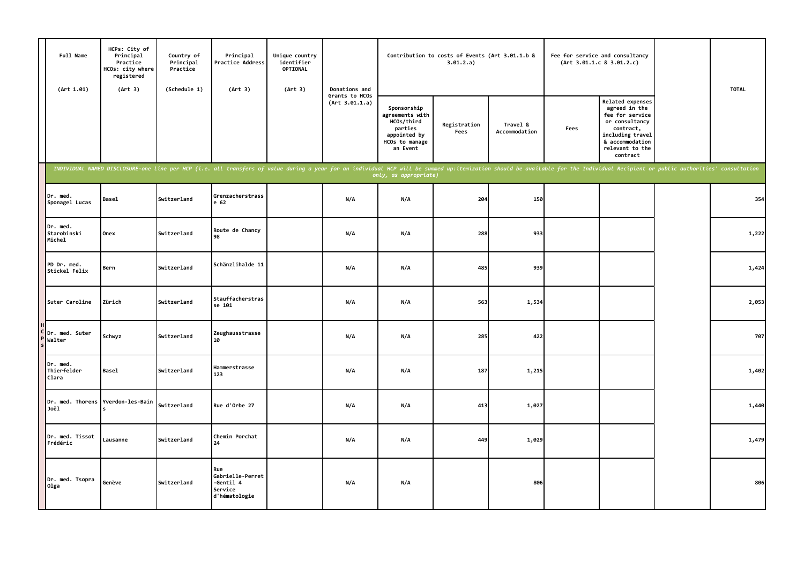| Full Name<br>(Art 1.01)           | HCPs: City of<br>Principal<br>Practice<br>HCOs: city where<br>registered<br>(Art 3) | Country of<br>Principal<br>Practice<br>(Schedule 1) | Principal<br>Practice Address<br>(Art 3)                                                                                                                                                                                       | Unique country<br>identifier<br>OPTIONAL<br>(Art 3) | Donations and                    |                                                                                                       | Contribution to costs of Events (Art 3.01.1.b &<br>3.01.2.a) |                           |      | Fee for service and consultancy<br>(Art 3.01.1.c 8 3.01.2.c)                                                                                                     | <b>TOTAL</b> |
|-----------------------------------|-------------------------------------------------------------------------------------|-----------------------------------------------------|--------------------------------------------------------------------------------------------------------------------------------------------------------------------------------------------------------------------------------|-----------------------------------------------------|----------------------------------|-------------------------------------------------------------------------------------------------------|--------------------------------------------------------------|---------------------------|------|------------------------------------------------------------------------------------------------------------------------------------------------------------------|--------------|
|                                   |                                                                                     |                                                     |                                                                                                                                                                                                                                |                                                     | Grants to HCOs<br>(Art 3.01.1.a) | Sponsorship<br>agreements with<br>HCOs/third<br>parties<br>appointed by<br>HCOs to manage<br>an Event | Registration<br>Fees                                         | Travel &<br>Accommodation | Fees | <b>Related expenses</b><br>agreed in the<br>fee for service<br>or consultancy<br>contract,<br>including travel<br>& accommodation<br>relevant to the<br>contract |              |
|                                   |                                                                                     |                                                     | INDIVIDUAL NAMED DISCLOSURE-one line per HCP (i.e. all transfers of value during a year for an individual HCP will be summed up:itemization should be available for the Individual Recipient or public authorities' consultati |                                                     |                                  | only, as appropriate)                                                                                 |                                                              |                           |      |                                                                                                                                                                  |              |
| Dr. med.<br>Sponagel Lucas        | <b>Basel</b>                                                                        | Switzerland                                         | Grenzacherstrass<br>e 62                                                                                                                                                                                                       |                                                     | N/A                              | N/A                                                                                                   | 204                                                          | 150                       |      |                                                                                                                                                                  | 354          |
| Dr. med.<br>Starobinski<br>Michel | Onex                                                                                | Switzerland                                         | Route de Chancy<br>98                                                                                                                                                                                                          |                                                     | N/A                              | N/A                                                                                                   | 288                                                          | 933                       |      |                                                                                                                                                                  | 1,222        |
| PD Dr. med.<br>Stickel Felix      | Bern                                                                                | Switzerland                                         | Schänzlihalde 11                                                                                                                                                                                                               |                                                     | N/A                              | N/A                                                                                                   | 485                                                          | 939                       |      |                                                                                                                                                                  | 1,424        |
| Suter Caroline                    | Zürich                                                                              | Switzerland                                         | Stauffacherstras<br>se 101                                                                                                                                                                                                     |                                                     | N/A                              | N/A                                                                                                   | 563                                                          | 1,534                     |      |                                                                                                                                                                  | 2,053        |
| C Dr. med. Suter<br>Walter        | Schwyz                                                                              | Switzerland                                         | Zeughausstrasse<br>10                                                                                                                                                                                                          |                                                     | N/A                              | N/A                                                                                                   | 285                                                          | 422                       |      |                                                                                                                                                                  | 707          |
| Dr. med.<br>Thierfelder<br>Clara  | Basel                                                                               | Switzerland                                         | Hammerstrasse<br>123                                                                                                                                                                                                           |                                                     | N/A                              | N/A                                                                                                   | 187                                                          | 1,215                     |      |                                                                                                                                                                  | 1,402        |
| Joël                              | Dr. med. Thorens Yverdon-les-Bain                                                   | Switzerland                                         | Rue d'Orbe 27                                                                                                                                                                                                                  |                                                     | N/A                              | N/A                                                                                                   | 413                                                          | 1,027                     |      |                                                                                                                                                                  | 1,440        |
| Dr. med. Tissot<br>Frédéric       | Lausanne                                                                            | Switzerland                                         | Chemin Porchat<br>24                                                                                                                                                                                                           |                                                     | N/A                              | N/A                                                                                                   | 449                                                          | 1,029                     |      |                                                                                                                                                                  | 1,479        |
| Dr. med. Tsopra<br>01ga           | Genève                                                                              | Switzerland                                         | Rue<br>Gabrielle-Perret<br>-Gentil 4<br>Service<br>d'hématologie                                                                                                                                                               |                                                     | N/A                              | N/A                                                                                                   |                                                              | 806                       |      |                                                                                                                                                                  | 806          |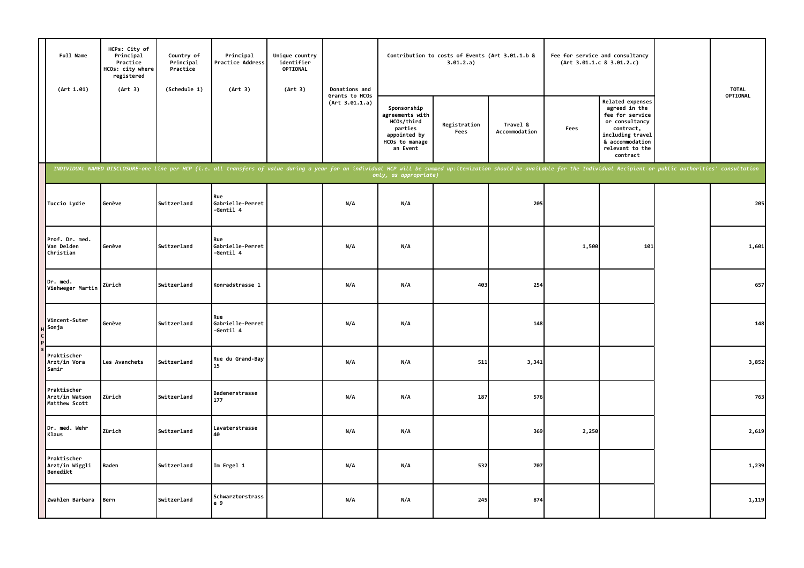| Full Name<br>(Art 1.01)                        | HCPs: City of<br>Principal<br>Practice<br>HCOs: city where<br>registered<br>(Art 3) | Country of<br>Principal<br>Practice<br>(Schedule 1) | Principal<br>Practice Address<br>(Art 3)                                                                                                                                                                                       | Unique country<br>identifier<br>OPTIONAL<br>(Art 3) | Donations and                    |                                                                                                       | Contribution to costs of Events (Art 3.01.1.b &<br>3.01.2.a) |                           |       | Fee for service and consultancy<br>(Art 3.01.1.c 8 3.01.2.c)                                                                                                     | <b>TOTAL</b> |
|------------------------------------------------|-------------------------------------------------------------------------------------|-----------------------------------------------------|--------------------------------------------------------------------------------------------------------------------------------------------------------------------------------------------------------------------------------|-----------------------------------------------------|----------------------------------|-------------------------------------------------------------------------------------------------------|--------------------------------------------------------------|---------------------------|-------|------------------------------------------------------------------------------------------------------------------------------------------------------------------|--------------|
|                                                |                                                                                     |                                                     |                                                                                                                                                                                                                                |                                                     | Grants to HCOs<br>(Art 3.01.1.a) | Sponsorship<br>agreements with<br>HCOs/third<br>parties<br>appointed by<br>HCOs to manage<br>an Event | Registration<br>Fees                                         | Travel &<br>Accommodation | Fees  | <b>Related expenses</b><br>agreed in the<br>fee for service<br>or consultancy<br>contract,<br>including travel<br>& accommodation<br>relevant to the<br>contract | OPTIONAL     |
|                                                |                                                                                     |                                                     | INDIVIDUAL NAMED DISCLOSURE-one line per HCP (i.e. all transfers of value during a year for an individual HCP will be summed up:itemization should be available for the Individual Recipient or public authorities' consultati |                                                     |                                  | only, as appropriate)                                                                                 |                                                              |                           |       |                                                                                                                                                                  |              |
| Tuccio Lydie                                   | Genève                                                                              | Switzerland                                         | Rue<br>Gabrielle-Perret<br>-Gentil 4                                                                                                                                                                                           |                                                     | N/A                              | N/A                                                                                                   |                                                              | 205                       |       |                                                                                                                                                                  | 205          |
| Prof. Dr. med.<br>Van Delden<br>Christian      | Genève                                                                              | Switzerland                                         | Rue<br>Gabrielle-Perret<br>-Gentil 4                                                                                                                                                                                           |                                                     | N/A                              | N/A                                                                                                   |                                                              |                           | 1,500 | 101                                                                                                                                                              | 1,601        |
| Dr. med.<br>Viehweger Martin                   | Zürich                                                                              | Switzerland                                         | Konradstrasse 1                                                                                                                                                                                                                |                                                     | N/A                              | N/A                                                                                                   | 403                                                          | 254                       |       |                                                                                                                                                                  | 657          |
| Vincent-Suter<br>Sonja                         | Genève                                                                              | Switzerland                                         | Rue<br>Gabrielle-Perret<br>-Gentil 4                                                                                                                                                                                           |                                                     | N/A                              | N/A                                                                                                   |                                                              | 148                       |       |                                                                                                                                                                  | 148          |
| Praktischer<br>Arzt/in Vora<br>Samir           | Les Avanchets                                                                       | Switzerland                                         | Rue du Grand-Bay<br>15                                                                                                                                                                                                         |                                                     | N/A                              | N/A                                                                                                   | 511                                                          | 3,341                     |       |                                                                                                                                                                  | 3,852        |
| Praktischer<br>Arzt/in Watson<br>Matthew Scott | Zürich                                                                              | Switzerland                                         | Badenerstrasse<br>177                                                                                                                                                                                                          |                                                     | N/A                              | N/A                                                                                                   | 187                                                          | 576                       |       |                                                                                                                                                                  | 763          |
| Dr. med. Wehr<br>Klaus                         | Zürich                                                                              | Switzerland                                         | Lavaterstrasse<br>40                                                                                                                                                                                                           |                                                     | N/A                              | N/A                                                                                                   |                                                              | 369                       | 2,250 |                                                                                                                                                                  | 2,619        |
| Praktischer<br>Arzt/in Wiggli<br>Benedikt      | <b>Baden</b>                                                                        | Switzerland                                         | Im Ergel 1                                                                                                                                                                                                                     |                                                     | N/A                              | N/A                                                                                                   | 532                                                          | 707                       |       |                                                                                                                                                                  | 1,239        |
| Zwahlen Barbara                                | Bern                                                                                | Switzerland                                         | Schwarztorstrass<br>e 9                                                                                                                                                                                                        |                                                     | N/A                              | N/A                                                                                                   | 245                                                          | 874                       |       |                                                                                                                                                                  | 1,119        |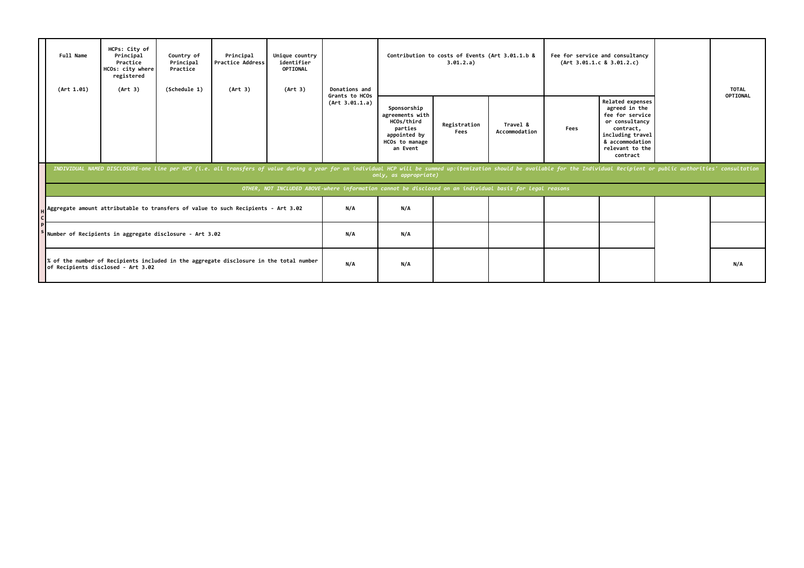| Full Name<br>(Art 1.01) | HCPs: City of<br>Principal<br>Practice<br>HCOs: city where<br>registered<br>(Art 3)                                                          | Country of<br>Principal<br>Practice<br>(Schedule 1) | Principal<br><b>Practice Address</b><br>(Art 3)                                                                                                                                                                                | Unique country<br>identifier<br>OPTIONAL<br>(Art 3) | Donations and                    |                                                                                                          | Contribution to costs of Events (Art 3.01.1.b &<br>3.01.2.a) |                           |      | Fee for service and consultancy<br>(Art 3.01.1.c 8 3.01.2.c)                                                                                              | <b>TOTAL</b> |
|-------------------------|----------------------------------------------------------------------------------------------------------------------------------------------|-----------------------------------------------------|--------------------------------------------------------------------------------------------------------------------------------------------------------------------------------------------------------------------------------|-----------------------------------------------------|----------------------------------|----------------------------------------------------------------------------------------------------------|--------------------------------------------------------------|---------------------------|------|-----------------------------------------------------------------------------------------------------------------------------------------------------------|--------------|
|                         |                                                                                                                                              |                                                     |                                                                                                                                                                                                                                |                                                     | Grants to HCOs<br>(Art 3.01.1.a) | Sponsorship<br>agreements with<br>HCOs/third<br>parties<br>appointed by<br>HCOs to manage<br>an Event    | Registration<br>Fees                                         | Travel &<br>Accommodation | Fees | Related expenses<br>agreed in the<br>fee for service<br>or consultancy<br>contract,<br>including travel<br>& accommodation<br>relevant to the<br>contract | OPTIONAL     |
|                         |                                                                                                                                              |                                                     | INDIVIDUAL NAMED DISCLOSURE-one line per HCP (i.e. all transfers of value during a year for an individual HCP will be summed up:itemization should be available for the Individual Recipient or public authorities' consultati |                                                     |                                  | only, as appropriate)                                                                                    |                                                              |                           |      |                                                                                                                                                           |              |
|                         |                                                                                                                                              |                                                     |                                                                                                                                                                                                                                |                                                     |                                  | OTHER, NOT INCLUDED ABOVE-where information cannot be disclosed on an individual basis for legal reasons |                                                              |                           |      |                                                                                                                                                           |              |
|                         |                                                                                                                                              |                                                     |                                                                                                                                                                                                                                |                                                     | N/A                              | N/A                                                                                                      |                                                              |                           |      |                                                                                                                                                           |              |
|                         | Aggregate amount attributable to transfers of value to such Recipients - Art 3.02<br>Number of Recipients in aggregate disclosure - Art 3.02 |                                                     |                                                                                                                                                                                                                                |                                                     | N/A                              | N/A                                                                                                      |                                                              |                           |      |                                                                                                                                                           |              |
|                         | of Recipients disclosed - Art 3.02                                                                                                           |                                                     | % of the number of Recipients included in the aggregate disclosure in the total number                                                                                                                                         |                                                     | N/A                              | N/A                                                                                                      |                                                              |                           |      |                                                                                                                                                           | N/A          |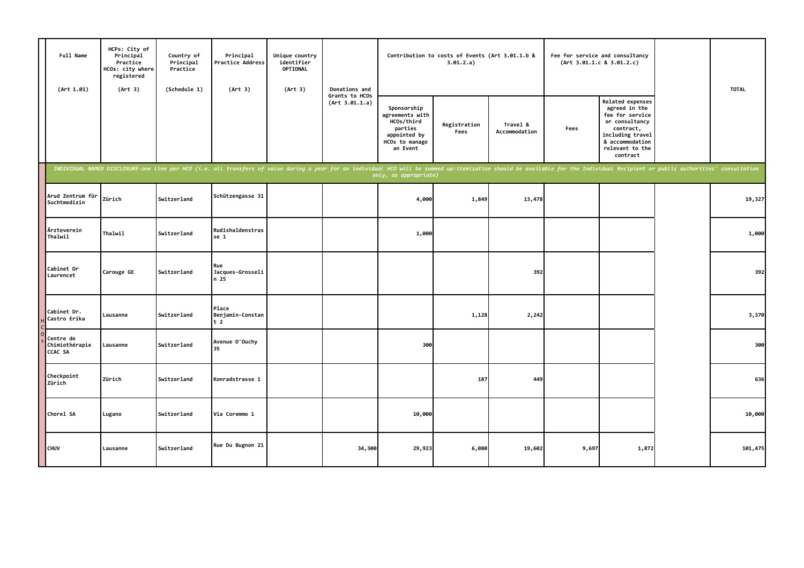| Full Name<br>(Art 1.01)                | HCPs: City of<br>Principal<br>Practice<br>HCOs: city where<br>registered<br>(Art 3) | Country of<br>Principal<br>Practice<br>(Schedule 1) | Principal<br>Practice Address<br>(Art 3)                                                                                                                                                                                       | Unique country<br>identifier<br>OPTIONAL<br>(Art 3) | Donations and                    |                                                                                                       | Contribution to costs of Events (Art 3.01.1.b &<br>3.01.2.a) |                           |       | Fee for service and consultancy<br>(Art 3.01.1.c 8 3.01.2.c)                                                                                              | <b>TOTAL</b> |
|----------------------------------------|-------------------------------------------------------------------------------------|-----------------------------------------------------|--------------------------------------------------------------------------------------------------------------------------------------------------------------------------------------------------------------------------------|-----------------------------------------------------|----------------------------------|-------------------------------------------------------------------------------------------------------|--------------------------------------------------------------|---------------------------|-------|-----------------------------------------------------------------------------------------------------------------------------------------------------------|--------------|
|                                        |                                                                                     |                                                     |                                                                                                                                                                                                                                |                                                     | Grants to HCOs<br>(Art 3.01.1.a) | Sponsorship<br>agreements with<br>HCOs/third<br>parties<br>appointed by<br>HCOs to manage<br>an Event | Registration<br>Fees                                         | Travel &<br>Accommodation | Fees  | Related expenses<br>agreed in the<br>fee for service<br>or consultancy<br>contract,<br>including travel<br>& accommodation<br>relevant to the<br>contract |              |
|                                        |                                                                                     |                                                     | INDIVIDUAL NAMED DISCLOSURE-one line per HCO (i.e. all transfers of value during a year for an individual HCO will be summed up:itemization should be available for the Individual Recipient or public authorities' consultati |                                                     |                                  | only, as appropriate)                                                                                 |                                                              |                           |       |                                                                                                                                                           |              |
| Arud Zentrum für<br>Suchtmedizin       | Zürich                                                                              | Switzerland                                         | Schützengasse 31                                                                                                                                                                                                               |                                                     |                                  | 4,000                                                                                                 | 1,849                                                        | 13,478                    |       |                                                                                                                                                           | 19,327       |
| Ärzteverein<br>Thalwil                 | Thalwil                                                                             | Switzerland                                         | Rudishaldenstras<br>se 1                                                                                                                                                                                                       |                                                     |                                  | 1,000                                                                                                 |                                                              |                           |       |                                                                                                                                                           | 1,000        |
| Cabinet Dr<br>Laurencet                | Carouge GE                                                                          | Switzerland                                         | Rue<br>Jacques-Grosseli<br>n 25                                                                                                                                                                                                |                                                     |                                  |                                                                                                       |                                                              | 392                       |       |                                                                                                                                                           | 392          |
| Cabinet Dr.<br>Castro Erika            | Lausanne                                                                            | Switzerland                                         | Place<br>Benjamin-Constan<br>t <sub>2</sub>                                                                                                                                                                                    |                                                     |                                  |                                                                                                       | 1,128                                                        | 2,242                     |       |                                                                                                                                                           | 3,370        |
| Centre de<br>Chimiothérapie<br>CCAC SA | Lausanne                                                                            | Switzerland                                         | Avenue D'Ouchy<br>35                                                                                                                                                                                                           |                                                     |                                  | 300                                                                                                   |                                                              |                           |       |                                                                                                                                                           | 300          |
| Checkpoint<br>Zürich                   | Zürich                                                                              | Switzerland                                         | Konradstrasse 1                                                                                                                                                                                                                |                                                     |                                  |                                                                                                       | 187                                                          | 449                       |       |                                                                                                                                                           | 636          |
| Chorel SA                              | Lugano                                                                              | Switzerland                                         | Via Coremmo 1                                                                                                                                                                                                                  |                                                     |                                  | 10,000                                                                                                |                                                              |                           |       |                                                                                                                                                           | 10,000       |
| <b>CHUV</b>                            | Lausanne                                                                            | Switzerland                                         | Rue Du Bugnon 21                                                                                                                                                                                                               |                                                     | 34,300                           | 29,923                                                                                                | 6,080                                                        | 19,602                    | 9,697 | 1,872                                                                                                                                                     | 101,475      |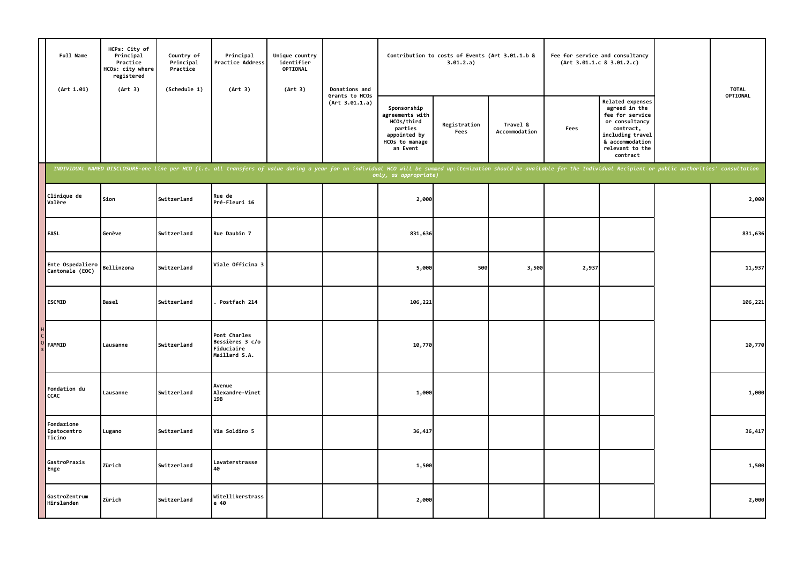| Full Name<br>(Art 1.01)             | HCPs: City of<br>Principal<br>Practice<br>HCOs: city where<br>registered<br>(Art 3) | Country of<br>Principal<br>Practice<br>(Schedule 1) | Principal<br>Practice Address<br>(Art 3)                                                                                                                                                                                       | Unique country<br>identifier<br>OPTIONAL<br>(Art 3) | Donations and                    |                                                                                                       | Contribution to costs of Events (Art 3.01.1.b &<br>3.01.2.a) |                           | Fee for service and consultancy | (Art 3.01.1.c 8 3.01.2.c)                                                                                                                                 | <b>TOTAL</b> |
|-------------------------------------|-------------------------------------------------------------------------------------|-----------------------------------------------------|--------------------------------------------------------------------------------------------------------------------------------------------------------------------------------------------------------------------------------|-----------------------------------------------------|----------------------------------|-------------------------------------------------------------------------------------------------------|--------------------------------------------------------------|---------------------------|---------------------------------|-----------------------------------------------------------------------------------------------------------------------------------------------------------|--------------|
|                                     |                                                                                     |                                                     |                                                                                                                                                                                                                                |                                                     | Grants to HCOs<br>(Art 3.01.1.a) | Sponsorship<br>agreements with<br>HCOs/third<br>parties<br>appointed by<br>HCOs to manage<br>an Event | Registration<br>Fees                                         | Travel &<br>Accommodation | Fees                            | Related expenses<br>agreed in the<br>fee for service<br>or consultancy<br>contract,<br>including travel<br>& accommodation<br>relevant to the<br>contract | OPTIONAL     |
|                                     |                                                                                     |                                                     | INDIVIDUAL NAMED DISCLOSURE-one line per HCO (i.e. all transfers of value during a year for an individual HCO will be summed up:itemization should be available for the Individual Recipient or public authorities' consultati |                                                     |                                  | only, as appropriate)                                                                                 |                                                              |                           |                                 |                                                                                                                                                           |              |
| Clinique de<br>Valère               | Sion                                                                                | Switzerland                                         | Rue de<br>Pré-Fleuri 16                                                                                                                                                                                                        |                                                     |                                  | 2,000                                                                                                 |                                                              |                           |                                 |                                                                                                                                                           | 2,000        |
| EASL                                | Genève                                                                              | Switzerland                                         | Rue Daubin 7                                                                                                                                                                                                                   |                                                     |                                  | 831,636                                                                                               |                                                              |                           |                                 |                                                                                                                                                           | 831,636      |
| Ente Ospedaliero<br>Cantonale (EOC) | Bellinzona                                                                          | Switzerland                                         | Viale Officina 3                                                                                                                                                                                                               |                                                     |                                  | 5,000                                                                                                 | 500                                                          | 3,500                     | 2,937                           |                                                                                                                                                           | 11,937       |
| <b>ESCMID</b>                       | <b>Basel</b>                                                                        | Switzerland                                         | Postfach 214                                                                                                                                                                                                                   |                                                     |                                  | 106,221                                                                                               |                                                              |                           |                                 |                                                                                                                                                           | 106,221      |
| FAMMID                              | Lausanne                                                                            | Switzerland                                         | Pont Charles<br>Bessières 3 c/o<br>Fiduciaire<br>Maillard S.A.                                                                                                                                                                 |                                                     |                                  | 10,770                                                                                                |                                                              |                           |                                 |                                                                                                                                                           | 10,770       |
| Fondation du<br>CCAC                | Lausanne                                                                            | Switzerland                                         | Avenue<br>Alexandre-Vinet<br>19B                                                                                                                                                                                               |                                                     |                                  | 1,000                                                                                                 |                                                              |                           |                                 |                                                                                                                                                           | 1,000        |
| Fondazione<br>Epatocentro<br>Ticino | Lugano                                                                              | Switzerland                                         | Via Soldino 5                                                                                                                                                                                                                  |                                                     |                                  | 36,417                                                                                                |                                                              |                           |                                 |                                                                                                                                                           | 36,417       |
| GastroPraxis<br>Enge                | Zürich                                                                              | Switzerland                                         | Lavaterstrasse<br>40                                                                                                                                                                                                           |                                                     |                                  | 1,500                                                                                                 |                                                              |                           |                                 |                                                                                                                                                           | 1,500        |
| GastroZentrum<br>Hirslanden         | Zürich                                                                              | Switzerland                                         | Witellikerstrass<br>e 40                                                                                                                                                                                                       |                                                     |                                  | 2,000                                                                                                 |                                                              |                           |                                 |                                                                                                                                                           | 2,000        |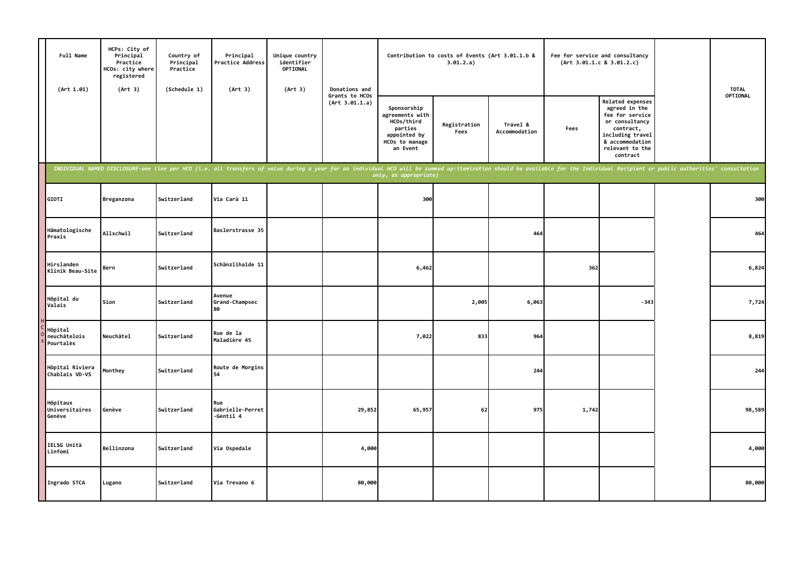| Full Name<br>(Art 1.01)              | HCPs: City of<br>Principal<br>Practice<br>HCOs: city where<br>registered<br>(Art 3) | Country of<br>Principal<br>Practice<br>(Schedule 1) | Principal<br>Practice Address<br>(Art 3)                                                                                                                                                                                       | Unique country<br>identifier<br>OPTIONAL<br>(Art 3) | Donations and                    |                                                                                                       | Contribution to costs of Events (Art 3.01.1.b &<br>3.01.2.a) |                           |       | Fee for service and consultancy<br>(Art 3.01.1.c 8 3.01.2.c)                                                                                              | <b>TOTAL</b> |
|--------------------------------------|-------------------------------------------------------------------------------------|-----------------------------------------------------|--------------------------------------------------------------------------------------------------------------------------------------------------------------------------------------------------------------------------------|-----------------------------------------------------|----------------------------------|-------------------------------------------------------------------------------------------------------|--------------------------------------------------------------|---------------------------|-------|-----------------------------------------------------------------------------------------------------------------------------------------------------------|--------------|
|                                      |                                                                                     |                                                     |                                                                                                                                                                                                                                |                                                     | Grants to HCOs<br>(Art 3.01.1.a) | Sponsorship<br>agreements with<br>HCOs/third<br>parties<br>appointed by<br>HCOs to manage<br>an Event | Registration<br>Fees                                         | Travel &<br>Accommodation | Fees  | Related expenses<br>agreed in the<br>fee for service<br>or consultancy<br>contract,<br>including travel<br>& accommodation<br>relevant to the<br>contract | OPTIONAL     |
|                                      |                                                                                     |                                                     | INDIVIDUAL NAMED DISCLOSURE-one line per HCO (i.e. all transfers of value during a year for an individual HCO will be summed up:itemization should be available for the Individual Recipient or public authorities' consultati |                                                     |                                  | only, as appropriate)                                                                                 |                                                              |                           |       |                                                                                                                                                           |              |
| GIOTI                                | Breganzona                                                                          | Switzerland                                         | Via Carà 11                                                                                                                                                                                                                    |                                                     |                                  | 300                                                                                                   |                                                              |                           |       |                                                                                                                                                           | 300          |
| Hämatologische<br>Praxis             | <b>Allschwil</b>                                                                    | Switzerland                                         | Baslerstrasse 35                                                                                                                                                                                                               |                                                     |                                  |                                                                                                       |                                                              | 464                       |       |                                                                                                                                                           | 464          |
| Hirslanden<br>Klinik Beau-Site       | Bern                                                                                | Switzerland                                         | Schänzlihalde 11                                                                                                                                                                                                               |                                                     |                                  | 6,462                                                                                                 |                                                              |                           | 362   |                                                                                                                                                           | 6,824        |
| Hôpital du<br>Valais                 | Sion                                                                                | Switzerland                                         | Avenue<br>Grand-Champsec<br>80                                                                                                                                                                                                 |                                                     |                                  |                                                                                                       | 2,005                                                        | 6,063                     |       | $-343$                                                                                                                                                    | 7,724        |
| Hôpital<br>neuchâtelois<br>Pourtalès | Neuchâtel                                                                           | Switzerland                                         | Rue de la<br>Maladière 45                                                                                                                                                                                                      |                                                     |                                  | 7,022                                                                                                 | 833                                                          | 964                       |       |                                                                                                                                                           | 8,819        |
| Hôpital Riviera<br>Chablais VD-VS    | Monthey                                                                             | Switzerland                                         | Route de Morgins<br>54                                                                                                                                                                                                         |                                                     |                                  |                                                                                                       |                                                              | 244                       |       |                                                                                                                                                           | 244          |
| Hôpitaux<br>Universitaires<br>Genève | Genève                                                                              | Switzerland                                         | Rue<br>Gabrielle-Perret<br>-Gentil 4                                                                                                                                                                                           |                                                     | 29,852                           | 65,957                                                                                                | 62                                                           | 975                       | 1,742 |                                                                                                                                                           | 98,589       |
| IELSG Unità<br>Linfomi               | Bellinzona                                                                          | Switzerland                                         | Via Ospedale                                                                                                                                                                                                                   |                                                     | 4,000                            |                                                                                                       |                                                              |                           |       |                                                                                                                                                           | 4,000        |
| Ingrado STCA                         | Lugano                                                                              | Switzerland                                         | Via Trevano 6                                                                                                                                                                                                                  |                                                     | 80,000                           |                                                                                                       |                                                              |                           |       |                                                                                                                                                           | 80,000       |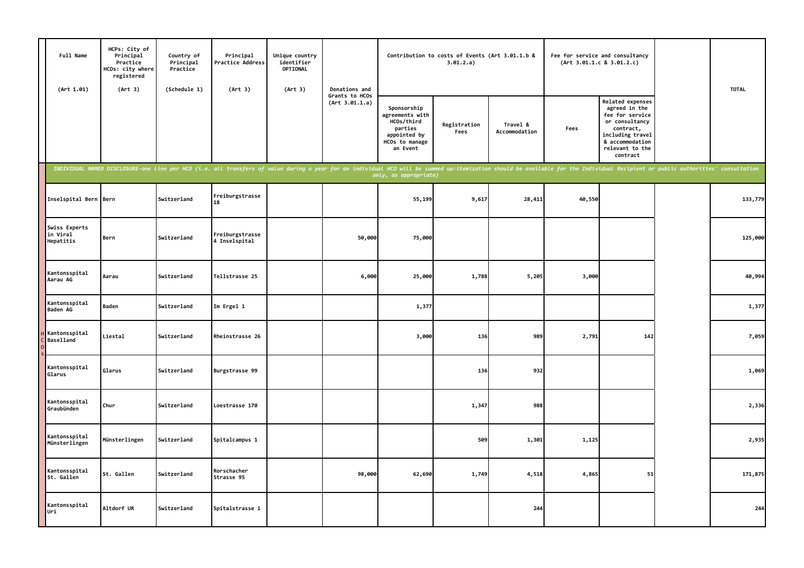| Full Name<br>(Art 1.01)                | HCPs: City of<br>Principal<br>Practice<br>HCOs: city where<br>registered<br>(Art 3) | Country of<br>Principal<br>Practice<br>(Schedule 1) | Principal<br>Practice Address<br>(Art 3)                                                                                                                                                                                       | Unique country<br>identifier<br>OPTIONAL<br>(Art 3) | Donations and                    |                                                                                                       | Contribution to costs of Events (Art 3.01.1.b &<br>3.01.2.a) |                           |        | Fee for service and consultancy<br>(Art 3.01.1.c 8 3.01.2.c)                                                                                                     | <b>TOTAL</b> |
|----------------------------------------|-------------------------------------------------------------------------------------|-----------------------------------------------------|--------------------------------------------------------------------------------------------------------------------------------------------------------------------------------------------------------------------------------|-----------------------------------------------------|----------------------------------|-------------------------------------------------------------------------------------------------------|--------------------------------------------------------------|---------------------------|--------|------------------------------------------------------------------------------------------------------------------------------------------------------------------|--------------|
|                                        |                                                                                     |                                                     |                                                                                                                                                                                                                                |                                                     | Grants to HCOs<br>(Art 3.01.1.a) | Sponsorship<br>agreements with<br>HCOs/third<br>parties<br>appointed by<br>HCOs to manage<br>an Event | Registration<br>Fees                                         | Travel &<br>Accommodation | Fees   | <b>Related expenses</b><br>agreed in the<br>fee for service<br>or consultancy<br>contract,<br>including travel<br>& accommodation<br>relevant to the<br>contract |              |
|                                        |                                                                                     |                                                     | INDIVIDUAL NAMED DISCLOSURE-one line per HCO (i.e. all transfers of value during a year for an individual HCO will be summed up:itemization should be available for the Individual Recipient or public authorities' consultati |                                                     |                                  | only, as appropriate)                                                                                 |                                                              |                           |        |                                                                                                                                                                  |              |
| Inselspital Bern                       | Bern                                                                                | Switzerland                                         | Freiburgstrasse<br>18                                                                                                                                                                                                          |                                                     |                                  | 55,199                                                                                                | 9,617                                                        | 28,411                    | 40,550 |                                                                                                                                                                  | 133,779      |
| Swiss Experts<br>in Viral<br>Hepatitis | Bern                                                                                | Switzerland                                         | Freiburgstrasse<br>4 Inselspital                                                                                                                                                                                               |                                                     | 50,000                           | 75,000                                                                                                |                                                              |                           |        |                                                                                                                                                                  | 125,000      |
| Kantonsspital<br>Aarau AG              | Aarau                                                                               | Switzerland                                         | Tellstrasse 25                                                                                                                                                                                                                 |                                                     | 6,000                            | 25,000                                                                                                | 1,788                                                        | 5,205                     | 3,000  |                                                                                                                                                                  | 40,994       |
| Kantonsspital<br>Baden AG              | Baden                                                                               | Switzerland                                         | Im Ergel 1                                                                                                                                                                                                                     |                                                     |                                  | 1,377                                                                                                 |                                                              |                           |        |                                                                                                                                                                  | 1,377        |
| Kantonsspital<br><b>Baselland</b>      | Liestal                                                                             | Switzerland                                         | Rheinstrasse 26                                                                                                                                                                                                                |                                                     |                                  | 3,000                                                                                                 | 136                                                          | 989                       | 2,791  | 142                                                                                                                                                              | 7,059        |
| Kantonsspital<br>Glarus                | Glarus                                                                              | Switzerland                                         | Burgstrasse 99                                                                                                                                                                                                                 |                                                     |                                  |                                                                                                       | 136                                                          | 932                       |        |                                                                                                                                                                  | 1,069        |
| Kantonsspital<br>Graubünden            | Chur                                                                                | Switzerland                                         | Loestrasse 170                                                                                                                                                                                                                 |                                                     |                                  |                                                                                                       | 1,347                                                        | 988                       |        |                                                                                                                                                                  | 2,336        |
| Kantonsspital<br>Münsterlingen         | Münsterlingen                                                                       | Switzerland                                         | Spitalcampus 1                                                                                                                                                                                                                 |                                                     |                                  |                                                                                                       | 509                                                          | 1,301                     | 1,125  |                                                                                                                                                                  | 2,935        |
| Kantonsspital<br>St. Gallen            | St. Gallen                                                                          | Switzerland                                         | Rorschacher<br>Strasse 95                                                                                                                                                                                                      |                                                     | 98,000                           | 62,690                                                                                                | 1,749                                                        | 4,518                     | 4,865  | 51                                                                                                                                                               | 171,875      |
| Kantonsspital<br>Uri                   | <b>Altdorf UR</b>                                                                   | Switzerland                                         | Spitalstrasse 1                                                                                                                                                                                                                |                                                     |                                  |                                                                                                       |                                                              | 244                       |        |                                                                                                                                                                  | 244          |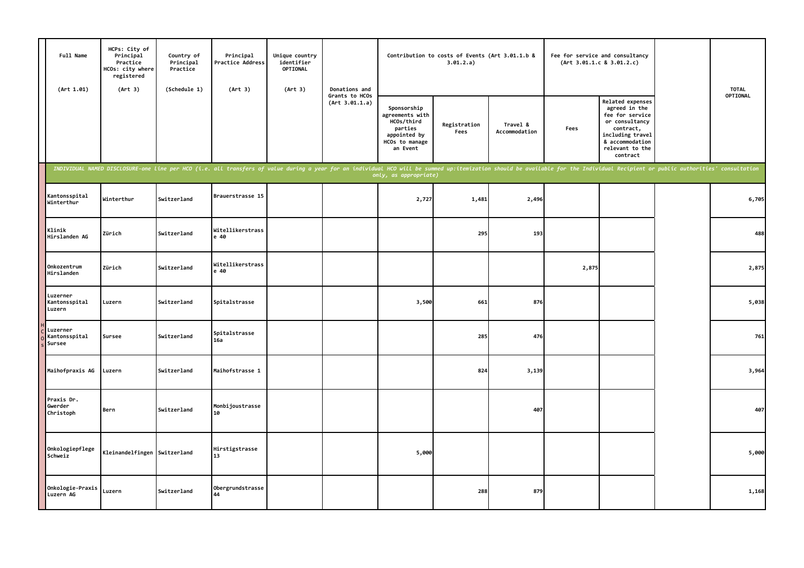| Full Name<br>(Art 1.01)             | HCPs: City of<br>Principal<br>Practice<br>HCOs: city where<br>registered<br>(Art 3) | Country of<br>Principal<br>Practice<br>(Schedule 1) | Principal<br>Practice Address<br>(Art 3)                                                                                                                                                                                       | Unique country<br>identifier<br>OPTIONAL<br>(Art 3) | Donations and                    |                                                                                                       | Contribution to costs of Events (Art 3.01.1.b &<br>3.01.2.a) |                           |       | Fee for service and consultancy<br>(Art 3.01.1.c 8 3.01.2.c)                                                                                              | <b>TOTAL</b> |
|-------------------------------------|-------------------------------------------------------------------------------------|-----------------------------------------------------|--------------------------------------------------------------------------------------------------------------------------------------------------------------------------------------------------------------------------------|-----------------------------------------------------|----------------------------------|-------------------------------------------------------------------------------------------------------|--------------------------------------------------------------|---------------------------|-------|-----------------------------------------------------------------------------------------------------------------------------------------------------------|--------------|
|                                     |                                                                                     |                                                     |                                                                                                                                                                                                                                |                                                     | Grants to HCOs<br>(Art 3.01.1.a) | Sponsorship<br>agreements with<br>HCOs/third<br>parties<br>appointed by<br>HCOs to manage<br>an Event | Registration<br>Fees                                         | Travel &<br>Accommodation | Fees  | Related expenses<br>agreed in the<br>fee for service<br>or consultancy<br>contract,<br>including travel<br>& accommodation<br>relevant to the<br>contract | OPTIONAL     |
|                                     |                                                                                     |                                                     | INDIVIDUAL NAMED DISCLOSURE-one line per HCO (i.e. all transfers of value during a year for an individual HCO will be summed up:itemization should be available for the Individual Recipient or public authorities' consultati |                                                     |                                  | only, as appropriate)                                                                                 |                                                              |                           |       |                                                                                                                                                           |              |
| Kantonsspital<br>Winterthur         | Winterthur                                                                          | Switzerland                                         | Brauerstrasse 15                                                                                                                                                                                                               |                                                     |                                  | 2,727                                                                                                 | 1,481                                                        | 2,496                     |       |                                                                                                                                                           | 6,705        |
| Klinik<br>Hirslanden AG             | Zürich                                                                              | Switzerland                                         | Witellikerstrass<br>e 40                                                                                                                                                                                                       |                                                     |                                  |                                                                                                       | 295                                                          | 193                       |       |                                                                                                                                                           | 488          |
| Onkozentrum<br>Hirslanden           | Zürich                                                                              | Switzerland                                         | Witellikerstrass<br>e 40                                                                                                                                                                                                       |                                                     |                                  |                                                                                                       |                                                              |                           | 2,875 |                                                                                                                                                           | 2,875        |
| Luzerner<br>Kantonsspital<br>Luzern | Luzern                                                                              | Switzerland                                         | Spitalstrasse                                                                                                                                                                                                                  |                                                     |                                  | 3,500                                                                                                 | 661                                                          | 876                       |       |                                                                                                                                                           | 5,038        |
| Luzerner<br>Kantonsspital<br>Sursee | Sursee                                                                              | Switzerland                                         | Spitalstrasse<br>16a                                                                                                                                                                                                           |                                                     |                                  |                                                                                                       | 285                                                          | 476                       |       |                                                                                                                                                           | 761          |
| Maihofpraxis AG                     | Luzern                                                                              | Switzerland                                         | Maihofstrasse 1                                                                                                                                                                                                                |                                                     |                                  |                                                                                                       | 824                                                          | 3,139                     |       |                                                                                                                                                           | 3,964        |
| Praxis Dr.<br>Gwerder<br>Christoph  | Bern                                                                                | Switzerland                                         | Monbijoustrasse<br>10                                                                                                                                                                                                          |                                                     |                                  |                                                                                                       |                                                              | 407                       |       |                                                                                                                                                           | 407          |
| Onkologiepflege<br>Schweiz          | Kleinandelfingen Switzerland                                                        |                                                     | Hirstigstrasse<br>13                                                                                                                                                                                                           |                                                     |                                  | 5,000                                                                                                 |                                                              |                           |       |                                                                                                                                                           | 5,000        |
| Onkologie-Praxis<br>Luzern AG       | Luzern                                                                              | Switzerland                                         | Obergrundstrasse<br>44                                                                                                                                                                                                         |                                                     |                                  |                                                                                                       | 288                                                          | 879                       |       |                                                                                                                                                           | 1,168        |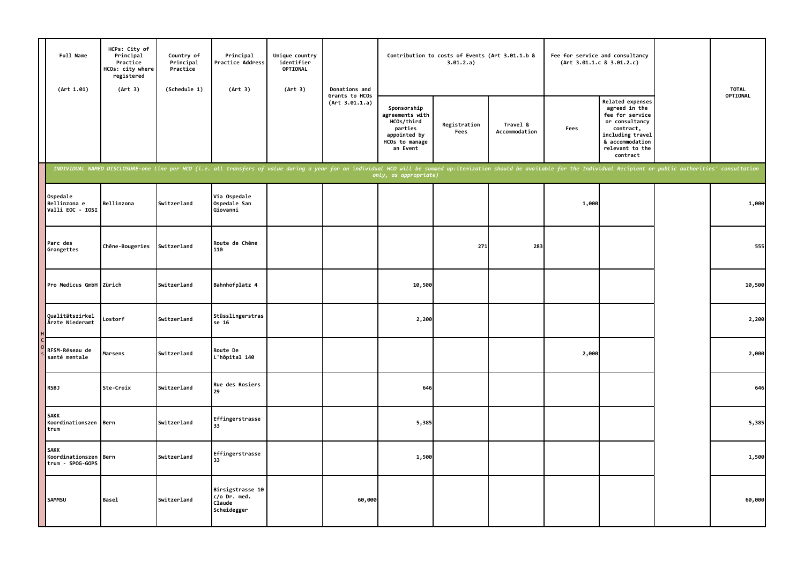| Full Name<br>(Art 1.01)                             | HCPs: City of<br>Principal<br>Practice<br>HCOs: city where<br>registered<br>(Art 3) | Country of<br>Principal<br>Practice<br>(Schedule 1) | Principal<br>Practice Address<br>(Art 3)                                                                                                                                                                                       | Unique country<br>identifier<br>OPTIONAL<br>(Art 3) | Donations and                    |                                                                                                       | Contribution to costs of Events (Art 3.01.1.b &<br>3.01.2.a) |                           |       | Fee for service and consultancy<br>(Art 3.01.1.c 8 3.01.2.c)                                                                                              | <b>TOTAL</b> |
|-----------------------------------------------------|-------------------------------------------------------------------------------------|-----------------------------------------------------|--------------------------------------------------------------------------------------------------------------------------------------------------------------------------------------------------------------------------------|-----------------------------------------------------|----------------------------------|-------------------------------------------------------------------------------------------------------|--------------------------------------------------------------|---------------------------|-------|-----------------------------------------------------------------------------------------------------------------------------------------------------------|--------------|
|                                                     |                                                                                     |                                                     |                                                                                                                                                                                                                                |                                                     | Grants to HCOs<br>(Art 3.01.1.a) | Sponsorship<br>agreements with<br>HCOs/third<br>parties<br>appointed by<br>HCOs to manage<br>an Event | Registration<br>Fees                                         | Travel &<br>Accommodation | Fees  | Related expenses<br>agreed in the<br>fee for service<br>or consultancy<br>contract,<br>including travel<br>& accommodation<br>relevant to the<br>contract | OPTIONAL     |
|                                                     |                                                                                     |                                                     | INDIVIDUAL NAMED DISCLOSURE-one line per HCO (i.e. all transfers of value during a year for an individual HCO will be summed up:itemization should be available for the Individual Recipient or public authorities' consultati |                                                     |                                  | only, as appropriate)                                                                                 |                                                              |                           |       |                                                                                                                                                           |              |
| Ospedale<br>Bellinzona e<br>Valli EOC - IOSI        | Bellinzona                                                                          | Switzerland                                         | Via Ospedale<br>Ospedale San<br>Giovanni                                                                                                                                                                                       |                                                     |                                  |                                                                                                       |                                                              |                           | 1,000 |                                                                                                                                                           | 1,000        |
| Parc des<br>Grangettes                              | Chêne-Bougeries                                                                     | Switzerland                                         | Route de Chêne<br>110                                                                                                                                                                                                          |                                                     |                                  |                                                                                                       | 271                                                          | 283                       |       |                                                                                                                                                           | 555          |
| Pro Medicus GmbH                                    | Zürich                                                                              | Switzerland                                         | Bahnhofplatz 4                                                                                                                                                                                                                 |                                                     |                                  | 10,500                                                                                                |                                                              |                           |       |                                                                                                                                                           | 10,500       |
| Qualitätszirkel<br>Ärzte Niederamt                  | Lostorf                                                                             | Switzerland                                         | Stüsslingerstras<br>se 16                                                                                                                                                                                                      |                                                     |                                  | 2,200                                                                                                 |                                                              |                           |       |                                                                                                                                                           | 2,200        |
| RFSM-Réseau de<br>santé mentale                     | Marsens                                                                             | Switzerland                                         | Route De<br>L'hôpital 140                                                                                                                                                                                                      |                                                     |                                  |                                                                                                       |                                                              |                           | 2,000 |                                                                                                                                                           | 2,000        |
| <b>RSBJ</b>                                         | Ste-Croix                                                                           | Switzerland                                         | Rue des Rosiers<br>29                                                                                                                                                                                                          |                                                     |                                  | 646                                                                                                   |                                                              |                           |       |                                                                                                                                                           | 646          |
| <b>SAKK</b><br>Koordinationszen Bern<br>trum        |                                                                                     | Switzerland                                         | Effingerstrasse<br>33                                                                                                                                                                                                          |                                                     |                                  | 5,385                                                                                                 |                                                              |                           |       |                                                                                                                                                           | 5,385        |
| <b>SAKK</b><br>Koordinationszen<br>trum - SPOG-GOPS | Bern                                                                                | Switzerland                                         | Effingerstrasse<br>33                                                                                                                                                                                                          |                                                     |                                  | 1,500                                                                                                 |                                                              |                           |       |                                                                                                                                                           | 1,500        |
| SAMMSU                                              | <b>Basel</b>                                                                        | Switzerland                                         | Birsigstrasse 10<br>c/o Dr. med.<br>Claude<br>Scheidegger                                                                                                                                                                      |                                                     | 60,000                           |                                                                                                       |                                                              |                           |       |                                                                                                                                                           | 60,000       |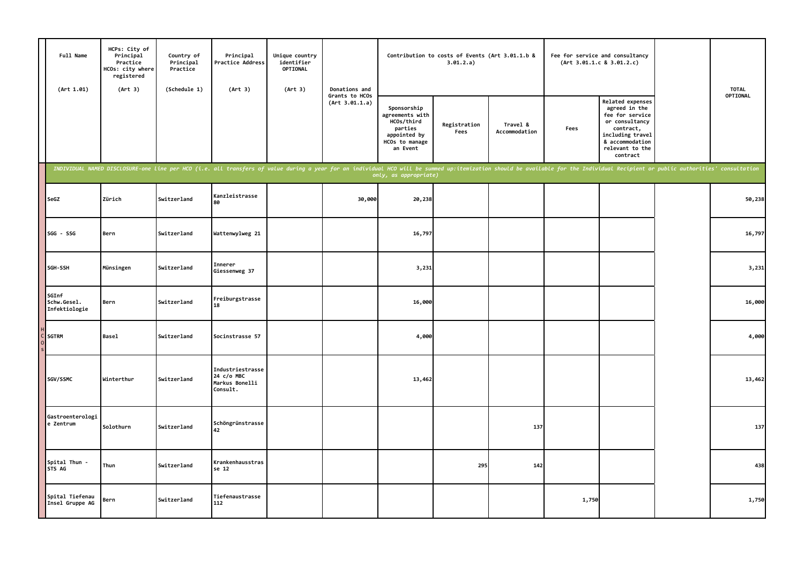| Full Name<br>(Art 1.01)               | HCPs: City of<br>Principal<br>Practice<br>HCOs: city where<br>registered<br>(Art 3) | Country of<br>Principal<br>Practice<br>(Schedule 1) | Principal<br>Practice Address<br>(Art 3)                                                                                                                                                                                       | Unique country<br>identifier<br>OPTIONAL<br>(Art 3) | Donations and                    |                                                                                                       | 3.01.2.a)            | Contribution to costs of Events (Art 3.01.1.b &<br>Fee for service and consultancy<br>(Art 3.01.1.c 8 3.01.2.c) |       |                                                                                                                                                                  | <b>TOTAL</b>    |
|---------------------------------------|-------------------------------------------------------------------------------------|-----------------------------------------------------|--------------------------------------------------------------------------------------------------------------------------------------------------------------------------------------------------------------------------------|-----------------------------------------------------|----------------------------------|-------------------------------------------------------------------------------------------------------|----------------------|-----------------------------------------------------------------------------------------------------------------|-------|------------------------------------------------------------------------------------------------------------------------------------------------------------------|-----------------|
|                                       |                                                                                     |                                                     |                                                                                                                                                                                                                                |                                                     | Grants to HCOs<br>(Art 3.01.1.a) | Sponsorship<br>agreements with<br>HCOs/third<br>parties<br>appointed by<br>HCOs to manage<br>an Event | Registration<br>Fees | Travel &<br>Accommodation                                                                                       | Fees  | <b>Related expenses</b><br>agreed in the<br>fee for service<br>or consultancy<br>contract,<br>including travel<br>& accommodation<br>relevant to the<br>contract | <b>OPTIONAL</b> |
|                                       |                                                                                     |                                                     | INDIVIDUAL NAMED DISCLOSURE-one line per HCO (i.e. all transfers of value during a year for an individual HCO will be summed up:itemization should be available for the Individual Recipient or public authorities' consultati |                                                     |                                  | only, as appropriate)                                                                                 |                      |                                                                                                                 |       |                                                                                                                                                                  |                 |
| SeGZ                                  | Zürich                                                                              | Switzerland                                         | Kanzleistrasse<br>80                                                                                                                                                                                                           |                                                     | 30,000                           | 20,238                                                                                                |                      |                                                                                                                 |       |                                                                                                                                                                  | 50,238          |
| SGG - SSG                             | Bern                                                                                | Switzerland                                         | Wattenwylweg 21                                                                                                                                                                                                                |                                                     |                                  | 16,797                                                                                                |                      |                                                                                                                 |       |                                                                                                                                                                  | 16,797          |
| SGH-SSH                               | Münsingen                                                                           | Switzerland                                         | Innerer<br>Giessenweg 37                                                                                                                                                                                                       |                                                     |                                  | 3,231                                                                                                 |                      |                                                                                                                 |       |                                                                                                                                                                  | 3,231           |
| SGInf<br>Schw.Gesel.<br>Infektiologie | Bern                                                                                | Switzerland                                         | Freiburgstrasse<br>18                                                                                                                                                                                                          |                                                     |                                  | 16,000                                                                                                |                      |                                                                                                                 |       |                                                                                                                                                                  | 16,000          |
| <b>SGTRM</b>                          | <b>Basel</b>                                                                        | Switzerland                                         | Socinstrasse 57                                                                                                                                                                                                                |                                                     |                                  | 4,000                                                                                                 |                      |                                                                                                                 |       |                                                                                                                                                                  | 4,000           |
| SGV/SSMC                              | Winterthur                                                                          | Switzerland                                         | Industriestrasse<br>24 c/o MBC<br>Markus Bonelli<br>Consult.                                                                                                                                                                   |                                                     |                                  | 13,462                                                                                                |                      |                                                                                                                 |       |                                                                                                                                                                  | 13,462          |
| Gastroenterologi<br>e Zentrum         | Solothurn                                                                           | Switzerland                                         | Schöngrünstrasse<br>42                                                                                                                                                                                                         |                                                     |                                  |                                                                                                       |                      | 137                                                                                                             |       |                                                                                                                                                                  | 137             |
| Spital Thun<br>STS AG                 | Thun                                                                                | Switzerland                                         | Krankenhausstras<br>se 12                                                                                                                                                                                                      |                                                     |                                  |                                                                                                       | 295                  | 142                                                                                                             |       |                                                                                                                                                                  | 438             |
| Spital Tiefenau<br>Insel Gruppe AG    | Bern                                                                                | Switzerland                                         | Tiefenaustrasse<br>112                                                                                                                                                                                                         |                                                     |                                  |                                                                                                       |                      |                                                                                                                 | 1,750 |                                                                                                                                                                  | 1,750           |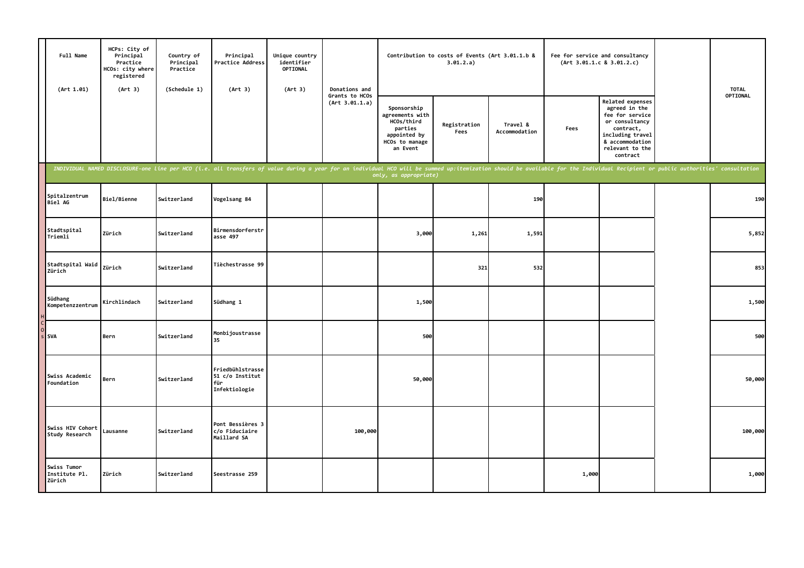| Full Name<br>(Art 1.01)                | HCPs: City of<br>Principal<br>Practice<br>HCOs: city where<br>registered<br>(Art 3) | Country of<br>Principal<br>Practice<br>(Schedule 1) | Principal<br>Practice Address<br>(Art 3)                                                                                                                                                                                       | Unique country<br>identifier<br>OPTIONAL<br>(Art 3) | Donations and                    |                                                                                                       | Contribution to costs of Events (Art 3.01.1.b &<br>3.01.2.a) |                           |       | Fee for service and consultancy<br>(Art 3.01.1.c 8 3.01.2.c)                                                                                                     | <b>TOTAL</b> |
|----------------------------------------|-------------------------------------------------------------------------------------|-----------------------------------------------------|--------------------------------------------------------------------------------------------------------------------------------------------------------------------------------------------------------------------------------|-----------------------------------------------------|----------------------------------|-------------------------------------------------------------------------------------------------------|--------------------------------------------------------------|---------------------------|-------|------------------------------------------------------------------------------------------------------------------------------------------------------------------|--------------|
|                                        |                                                                                     |                                                     |                                                                                                                                                                                                                                |                                                     | Grants to HCOs<br>(Art 3.01.1.a) | Sponsorship<br>agreements with<br>HCOs/third<br>parties<br>appointed by<br>HCOs to manage<br>an Event | Registration<br>Fees                                         | Travel &<br>Accommodation | Fees  | <b>Related expenses</b><br>agreed in the<br>fee for service<br>or consultancy<br>contract,<br>including travel<br>& accommodation<br>relevant to the<br>contract | OPTIONAL     |
|                                        |                                                                                     |                                                     | INDIVIDUAL NAMED DISCLOSURE-one line per HCO (i.e. all transfers of value during a year for an individual HCO will be summed up:itemization should be available for the Individual Recipient or public authorities' consultati |                                                     |                                  | only, as appropriate)                                                                                 |                                                              |                           |       |                                                                                                                                                                  |              |
| Spitalzentrum<br><b>Biel AG</b>        | Biel/Bienne                                                                         | Switzerland                                         | Vogelsang 84                                                                                                                                                                                                                   |                                                     |                                  |                                                                                                       |                                                              | 190                       |       |                                                                                                                                                                  | 190          |
| Stadtspital<br>Triemli                 | Zürich                                                                              | Switzerland                                         | Birmensdorferstr<br>asse 497                                                                                                                                                                                                   |                                                     |                                  | 3,000                                                                                                 | 1,261                                                        | 1,591                     |       |                                                                                                                                                                  | 5,852        |
| Stadtspital Waid<br>Zürich             | Zürich                                                                              | Switzerland                                         | Tièchestrasse 99                                                                                                                                                                                                               |                                                     |                                  |                                                                                                       | 321                                                          | 532                       |       |                                                                                                                                                                  | 853          |
| Südhang<br>Kompetenzzentrum            | Kirchlindach                                                                        | Switzerland                                         | Südhang 1                                                                                                                                                                                                                      |                                                     |                                  | 1,500                                                                                                 |                                                              |                           |       |                                                                                                                                                                  | 1,500        |
| <b>SVA</b>                             | Bern                                                                                | Switzerland                                         | Monbijoustrasse<br>35                                                                                                                                                                                                          |                                                     |                                  | 500                                                                                                   |                                                              |                           |       |                                                                                                                                                                  | 500          |
| Swiss Academic<br>Foundation           | Bern                                                                                | Switzerland                                         | Friedbühlstrasse<br>51 c/o Institut<br>für<br>Infektiologie                                                                                                                                                                    |                                                     |                                  | 50,000                                                                                                |                                                              |                           |       |                                                                                                                                                                  | 50,000       |
| Swiss HIV Cohort<br>Study Research     | Lausanne                                                                            | Switzerland                                         | Pont Bessières 3<br>c/o Fiduciaire<br>Maillard SA                                                                                                                                                                              |                                                     | 100,000                          |                                                                                                       |                                                              |                           |       |                                                                                                                                                                  | 100,000      |
| Swiss Tumor<br>Institute Pl.<br>Zürich | Zürich                                                                              | Switzerland                                         | Seestrasse 259                                                                                                                                                                                                                 |                                                     |                                  |                                                                                                       |                                                              |                           | 1,000 |                                                                                                                                                                  | 1,000        |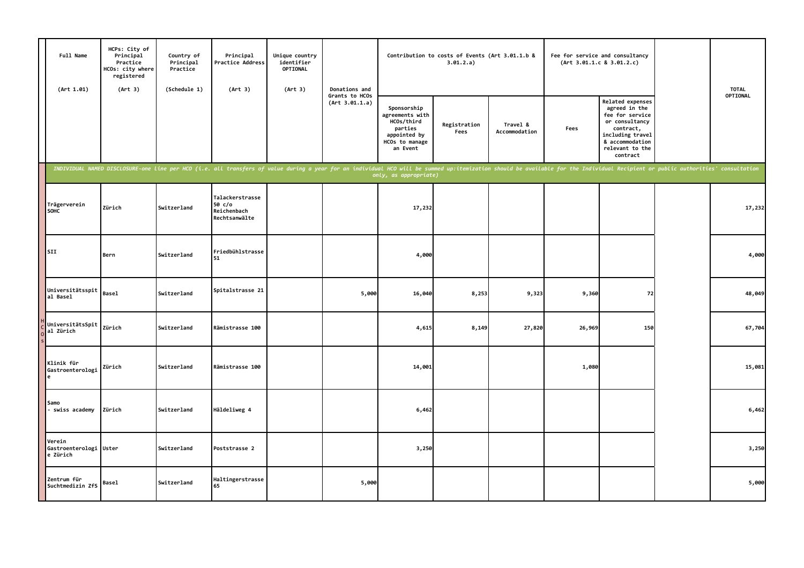| Full Name<br>(Art 1.01)                | HCPs: City of<br>Principal<br>Practice<br>HCOs: city where<br>registered<br>(Art 3) | Country of<br>Principal<br>Practice<br>(Schedule 1) | Principal<br>Practice Address<br>(Art 3)                                                                                                                                                                                       | Unique country<br>identifier<br>OPTIONAL<br>(Art 3) | Donations and                    |                                                                                                       | Contribution to costs of Events (Art 3.01.1.b &<br>3.01.2.a) |                           |        | Fee for service and consultancy<br>(Art 3.01.1.c 8 3.01.2.c)                                                                                              | <b>TOTAL</b> |
|----------------------------------------|-------------------------------------------------------------------------------------|-----------------------------------------------------|--------------------------------------------------------------------------------------------------------------------------------------------------------------------------------------------------------------------------------|-----------------------------------------------------|----------------------------------|-------------------------------------------------------------------------------------------------------|--------------------------------------------------------------|---------------------------|--------|-----------------------------------------------------------------------------------------------------------------------------------------------------------|--------------|
|                                        |                                                                                     |                                                     |                                                                                                                                                                                                                                |                                                     | Grants to HCOs<br>(Art 3.01.1.a) | Sponsorship<br>agreements with<br>HCOs/third<br>parties<br>appointed by<br>HCOs to manage<br>an Event | Registration<br>Fees                                         | Travel &<br>Accommodation | Fees   | Related expenses<br>agreed in the<br>fee for service<br>or consultancy<br>contract,<br>including travel<br>& accommodation<br>relevant to the<br>contract | OPTIONAL     |
|                                        |                                                                                     |                                                     | INDIVIDUAL NAMED DISCLOSURE-one line per HCO (i.e. all transfers of value during a year for an individual HCO will be summed up:itemization should be available for the Individual Recipient or public authorities' consultati |                                                     |                                  | only, as appropriate)                                                                                 |                                                              |                           |        |                                                                                                                                                           |              |
| Trägerverein<br><b>SOHC</b>            | Zürich                                                                              | Switzerland                                         | Talackerstrasse<br>50 c/o<br>Reichenbach<br>Rechtsanwälte                                                                                                                                                                      |                                                     |                                  | 17,232                                                                                                |                                                              |                           |        |                                                                                                                                                           | 17,232       |
| SII                                    | Bern                                                                                | Switzerland                                         | Friedbühlstrasse<br>51                                                                                                                                                                                                         |                                                     |                                  | 4,000                                                                                                 |                                                              |                           |        |                                                                                                                                                           | 4,000        |
| Universitätsspit<br>al Basel           | <b>Basel</b>                                                                        | Switzerland                                         | Spitalstrasse 21                                                                                                                                                                                                               |                                                     | 5,000                            | 16,040                                                                                                | 8,253                                                        | 9,323                     | 9,360  | 72                                                                                                                                                        | 48,049       |
| UniversitätsSpit<br>al Zürich          | Zürich                                                                              | Switzerland                                         | Rämistrasse 100                                                                                                                                                                                                                |                                                     |                                  | 4,615                                                                                                 | 8,149                                                        | 27,820                    | 26,969 | 150                                                                                                                                                       | 67,704       |
| Klinik für<br>Gastroenterologi<br>e    | Zürich                                                                              | Switzerland                                         | Rämistrasse 100                                                                                                                                                                                                                |                                                     |                                  | 14,001                                                                                                |                                                              |                           | 1,080  |                                                                                                                                                           | 15,081       |
| Samo<br>- swiss academy                | Zürich                                                                              | Switzerland                                         | Häldeliweg 4                                                                                                                                                                                                                   |                                                     |                                  | 6,462                                                                                                 |                                                              |                           |        |                                                                                                                                                           | 6,462        |
| Verein<br>Gastroenterologi<br>e Zürich | Uster                                                                               | Switzerland                                         | Poststrasse 2                                                                                                                                                                                                                  |                                                     |                                  | 3,250                                                                                                 |                                                              |                           |        |                                                                                                                                                           | 3,250        |
| Zentrum für<br>Suchtmedizin ZfS        | Basel                                                                               | Switzerland                                         | Haltingerstrasse<br>65                                                                                                                                                                                                         |                                                     | 5,000                            |                                                                                                       |                                                              |                           |        |                                                                                                                                                           | 5,000        |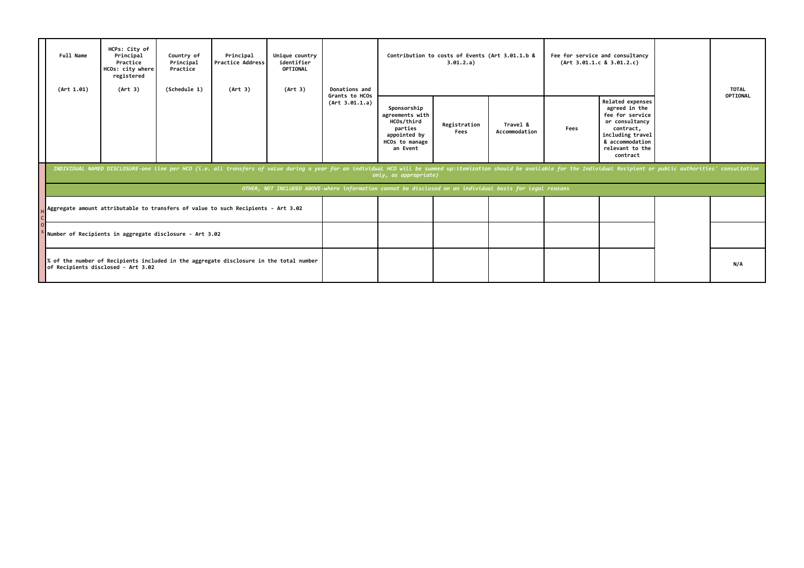| Full Name<br>(Art 1.01)                                                                                                      | HCPs: City of<br>Principal<br>Practice<br>HCOs: city where<br>registered<br>(Art 3) | Country of<br>Principal<br>Practice<br>(Schedule 1) | Principal<br><b>Practice Address</b><br>(Art 3)                                                                                                                                                                                | Unique country<br>identifier<br>OPTIONAL<br>(Art 3) | Donations and                    | Contribution to costs of Events (Art 3.01.1.b &<br>3.01.2.a)                                             |                      |                           |      | Fee for service and consultancy<br>(Art 3.01.1.c 8 3.01.2.c)                                                                                              | <b>TOTAL</b> |
|------------------------------------------------------------------------------------------------------------------------------|-------------------------------------------------------------------------------------|-----------------------------------------------------|--------------------------------------------------------------------------------------------------------------------------------------------------------------------------------------------------------------------------------|-----------------------------------------------------|----------------------------------|----------------------------------------------------------------------------------------------------------|----------------------|---------------------------|------|-----------------------------------------------------------------------------------------------------------------------------------------------------------|--------------|
|                                                                                                                              |                                                                                     |                                                     |                                                                                                                                                                                                                                |                                                     | Grants to HCOs<br>(Art 3.01.1.a) | Sponsorship<br>agreements with<br>HCOs/third<br>parties<br>appointed by<br>HCOs to manage<br>an Event    | Registration<br>Fees | Travel &<br>Accommodation | Fees | Related expenses<br>agreed in the<br>fee for service<br>or consultancy<br>contract,<br>including travel<br>& accommodation<br>relevant to the<br>contract | OPTIONAL     |
|                                                                                                                              |                                                                                     |                                                     | INDIVIDUAL NAMED DISCLOSURE-one line per HCO (i.e. all transfers of value during a year for an individual HCO will be summed up:itemization should be available for the Individual Recipient or public authorities' consultati |                                                     |                                  | only, as appropriate)                                                                                    |                      |                           |      |                                                                                                                                                           |              |
|                                                                                                                              |                                                                                     |                                                     |                                                                                                                                                                                                                                |                                                     |                                  | OTHER, NOT INCLUDED ABOVE-where information cannot be disclosed on an individual basis for legal reasons |                      |                           |      |                                                                                                                                                           |              |
|                                                                                                                              |                                                                                     |                                                     | Aggregate amount attributable to transfers of value to such Recipients - Art 3.02                                                                                                                                              |                                                     |                                  |                                                                                                          |                      |                           |      |                                                                                                                                                           |              |
| Number of Recipients in aggregate disclosure - Art 3.02                                                                      |                                                                                     |                                                     |                                                                                                                                                                                                                                |                                                     |                                  |                                                                                                          |                      |                           |      |                                                                                                                                                           |              |
| % of the number of Recipients included in the aggregate disclosure in the total number<br>of Recipients disclosed - Art 3.02 |                                                                                     |                                                     |                                                                                                                                                                                                                                |                                                     |                                  |                                                                                                          |                      |                           |      |                                                                                                                                                           | N/A          |